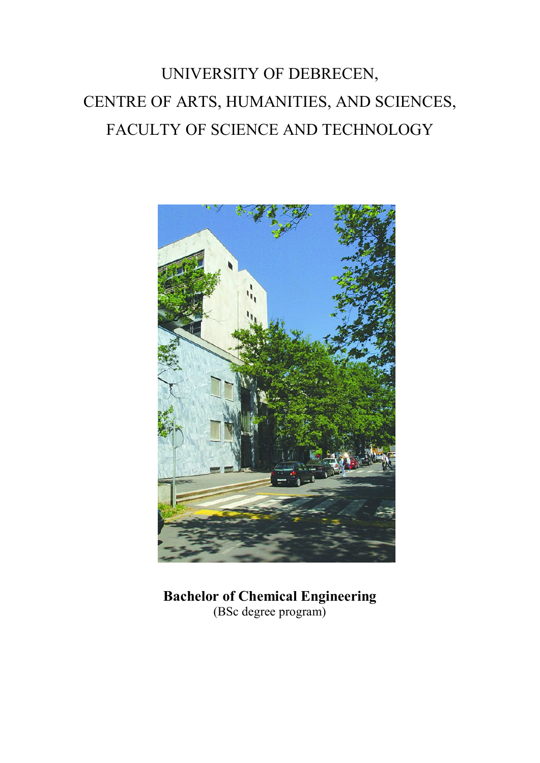# UNIVERSITY OF DEBRECEN, CENTRE OF ARTS, HUMANITIES, AND SCIENCES, FACULTY OF SCIENCE AND TECHNOLOGY



**Bachelor of Chemical Engineering** (BSc degree program)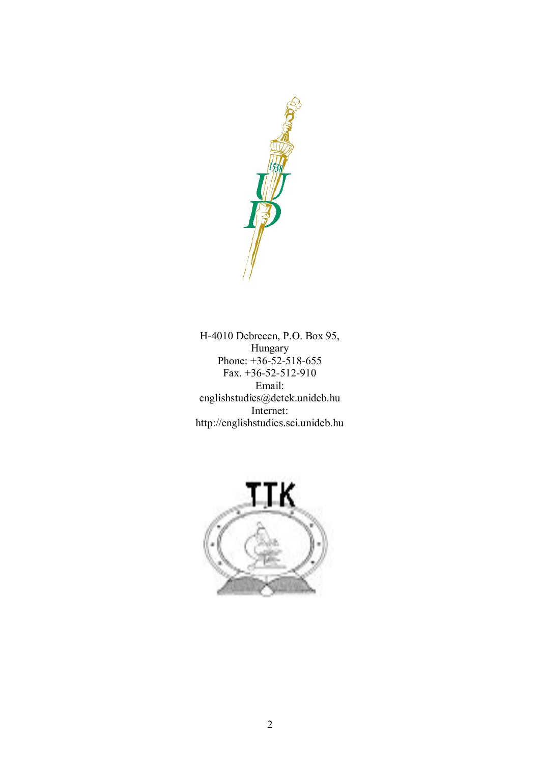

H-4010 Debrecen, P.O. Box 95, Hungary Phone: +36-52-518-655 Fax. +36-52-512-910 Email: englishstudies@detek.unideb.hu Internet: http://englishstudies.sci.unideb.hu

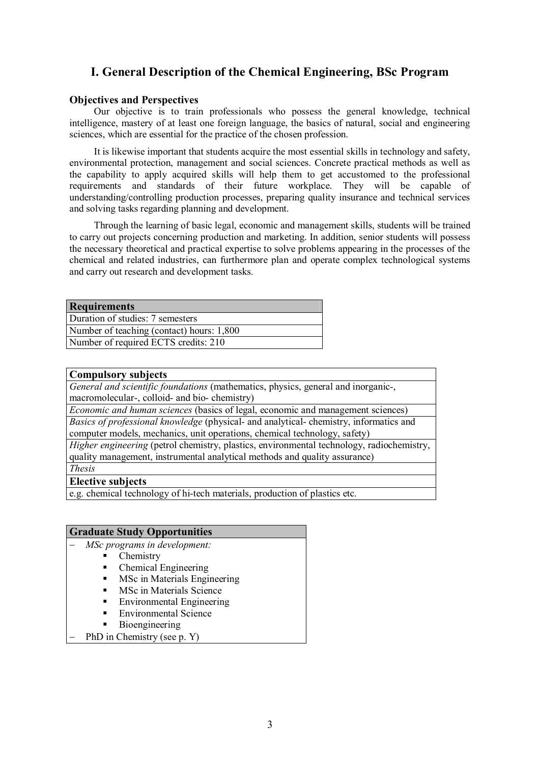# **I. General Description of the Chemical Engineering, BSc Program**

#### **Objectives and Perspectives**

Our objective is to train professionals who possess the general knowledge, technical intelligence, mastery of at least one foreign language, the basics of natural, social and engineering sciences, which are essential for the practice of the chosen profession.

It is likewise important that students acquire the most essential skills in technology and safety, environmental protection, management and social sciences. Concrete practical methods as well as the capability to apply acquired skills will help them to get accustomed to the professional requirements and standards of their future workplace. They will be capable of understanding/controlling production processes, preparing quality insurance and technical services and solving tasks regarding planning and development.

Through the learning of basic legal, economic and management skills, students will be trained to carry out projects concerning production and marketing. In addition, senior students will possess the necessary theoretical and practical expertise to solve problems appearing in the processes of the chemical and related industries, can furthermore plan and operate complex technological systems and carry out research and development tasks.

| <b>Requirements</b>                       |
|-------------------------------------------|
| Duration of studies: 7 semesters          |
| Number of teaching (contact) hours: 1,800 |
| Number of required ECTS credits: 210      |

#### **Compulsory subjects**

*General and scientific foundations* (mathematics, physics, general and inorganic-, macromolecular-, colloid- and bio- chemistry)

*Economic and human sciences* (basics of legal, economic and management sciences)

*Basics of professional knowledge* (physical- and analytical- chemistry, informatics and computer models, mechanics, unit operations, chemical technology, safety)

*Higher engineering* (petrol chemistry, plastics, environmental technology, radiochemistry, quality management, instrumental analytical methods and quality assurance) *Thesis*

# **Elective subjects**

e.g. chemical technology of hi-tech materials, production of plastics etc.

#### **Graduate Study Opportunities**

- *MSc programs in development:*

- Chemistry
- § Chemical Engineering
- § MSc in Materials Engineering
- § MSc in Materials Science
- § Environmental Engineering
- § Environmental Science
- § Bioengineering
- PhD in Chemistry (see p. Y)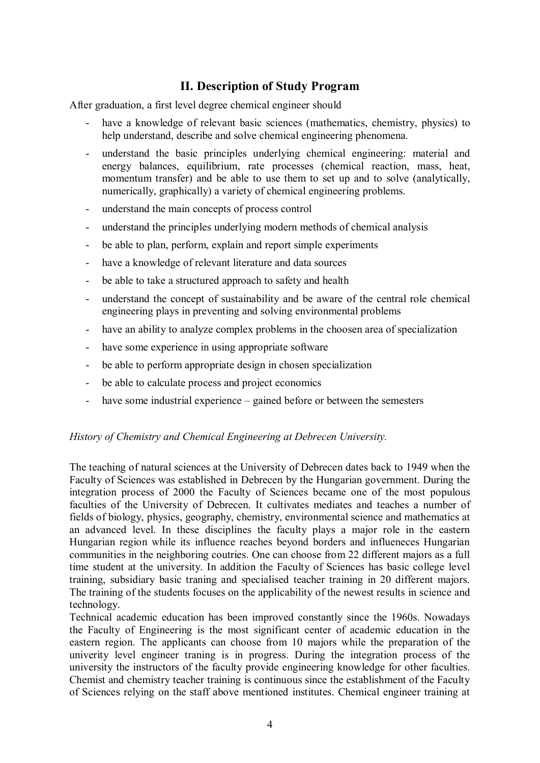# **II. Description of Study Program**

After graduation, a first level degree chemical engineer should

- have a knowledge of relevant basic sciences (mathematics, chemistry, physics) to help understand, describe and solve chemical engineering phenomena.
- understand the basic principles underlying chemical engineering: material and energy balances, equilibrium, rate processes (chemical reaction, mass, heat, momentum transfer) and be able to use them to set up and to solve (analytically, numerically, graphically) a variety of chemical engineering problems.
- understand the main concepts of process control
- understand the principles underlying modern methods of chemical analysis
- be able to plan, perform, explain and report simple experiments
- have a knowledge of relevant literature and data sources
- be able to take a structured approach to safety and health
- understand the concept of sustainability and be aware of the central role chemical engineering plays in preventing and solving environmental problems
- have an ability to analyze complex problems in the choosen area of specialization
- have some experience in using appropriate software
- be able to perform appropriate design in chosen specialization
- be able to calculate process and project economics
- have some industrial experience gained before or between the semesters

#### *History of Chemistry and Chemical Engineering at Debrecen University.*

The teaching of natural sciences at the University of Debrecen dates back to 1949 when the Faculty of Sciences was established in Debrecen by the Hungarian government. During the integration process of 2000 the Faculty of Sciences became one of the most populous faculties of the University of Debrecen. It cultivates mediates and teaches a number of fields of biology, physics, geography, chemistry, environmental science and mathematics at an advanced level. In these disciplines the faculty plays a major role in the eastern Hungarian region while its influence reaches beyond borders and influeneces Hungarian communities in the neighboring coutries. One can choose from 22 different majors as a full time student at the university. In addition the Faculty of Sciences has basic college level training, subsidiary basic traning and specialised teacher training in 20 different majors. The training of the students focuses on the applicability of the newest results in science and technology.

Technical academic education has been improved constantly since the 1960s. Nowadays the Faculty of Engineering is the most significant center of academic education in the eastern region. The applicants can choose from 10 majors while the preparation of the univerity level engineer traning is in progress. During the integration process of the university the instructors of the faculty provide engineering knowledge for other faculties. Chemist and chemistry teacher training is continuous since the establishment of the Faculty of Sciences relying on the staff above mentioned institutes. Chemical engineer training at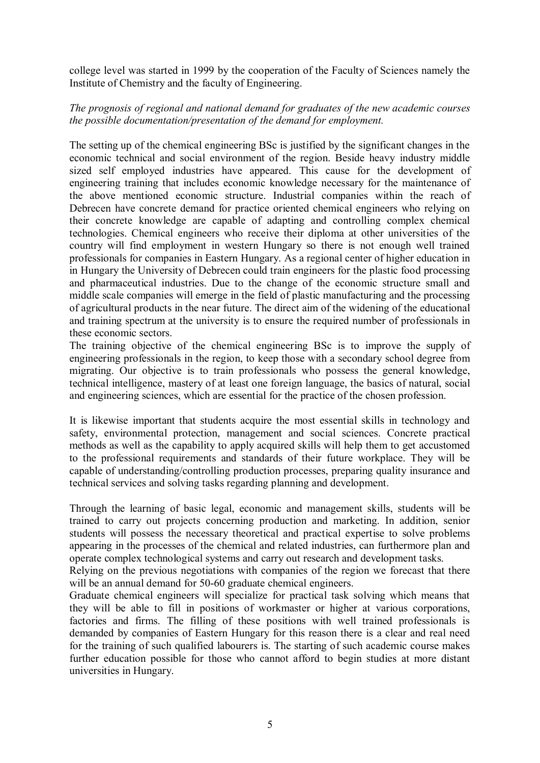college level was started in 1999 by the cooperation of the Faculty of Sciences namely the Institute of Chemistry and the faculty of Engineering.

# *The prognosis of regional and national demand for graduates of the new academic courses the possible documentation/presentation of the demand for employment.*

The setting up of the chemical engineering BSc is justified by the significant changes in the economic technical and social environment of the region. Beside heavy industry middle sized self employed industries have appeared. This cause for the development of engineering training that includes economic knowledge necessary for the maintenance of the above mentioned economic structure. Industrial companies within the reach of Debrecen have concrete demand for practice oriented chemical engineers who relying on their concrete knowledge are capable of adapting and controlling complex chemical technologies. Chemical engineers who receive their diploma at other universities of the country will find employment in western Hungary so there is not enough well trained professionals for companies in Eastern Hungary. As a regional center of higher education in in Hungary the University of Debrecen could train engineers for the plastic food processing and pharmaceutical industries. Due to the change of the economic structure small and middle scale companies will emerge in the field of plastic manufacturing and the processing of agricultural products in the near future. The direct aim of the widening of the educational and training spectrum at the university is to ensure the required number of professionals in these economic sectors.

The training objective of the chemical engineering BSc is to improve the supply of engineering professionals in the region, to keep those with a secondary school degree from migrating. Our objective is to train professionals who possess the general knowledge, technical intelligence, mastery of at least one foreign language, the basics of natural, social and engineering sciences, which are essential for the practice of the chosen profession.

It is likewise important that students acquire the most essential skills in technology and safety, environmental protection, management and social sciences. Concrete practical methods as well as the capability to apply acquired skills will help them to get accustomed to the professional requirements and standards of their future workplace. They will be capable of understanding/controlling production processes, preparing quality insurance and technical services and solving tasks regarding planning and development.

Through the learning of basic legal, economic and management skills, students will be trained to carry out projects concerning production and marketing. In addition, senior students will possess the necessary theoretical and practical expertise to solve problems appearing in the processes of the chemical and related industries, can furthermore plan and operate complex technological systems and carry out research and development tasks.

Relying on the previous negotiations with companies of the region we forecast that there will be an annual demand for 50-60 graduate chemical engineers.

Graduate chemical engineers will specialize for practical task solving which means that they will be able to fill in positions of workmaster or higher at various corporations, factories and firms. The filling of these positions with well trained professionals is demanded by companies of Eastern Hungary for this reason there is a clear and real need for the training of such qualified labourers is. The starting of such academic course makes further education possible for those who cannot afford to begin studies at more distant universities in Hungary.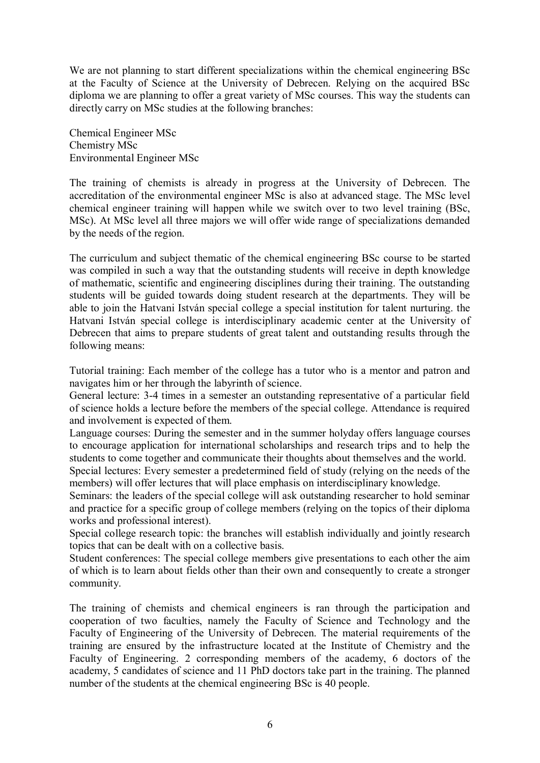We are not planning to start different specializations within the chemical engineering BSc at the Faculty of Science at the University of Debrecen. Relying on the acquired BSc diploma we are planning to offer a great variety of MSc courses. This way the students can directly carry on MSc studies at the following branches:

Chemical Engineer MSc Chemistry MSc Environmental Engineer MSc

The training of chemists is already in progress at the University of Debrecen. The accreditation of the environmental engineer MSc is also at advanced stage. The MSc level chemical engineer training will happen while we switch over to two level training (BSc, MSc). At MSc level all three majors we will offer wide range of specializations demanded by the needs of the region.

The curriculum and subject thematic of the chemical engineering BSc course to be started was compiled in such a way that the outstanding students will receive in depth knowledge of mathematic, scientific and engineering disciplines during their training. The outstanding students will be guided towards doing student research at the departments. They will be able to join the Hatvani István special college a special institution for talent nurturing. the Hatvani István special college is interdisciplinary academic center at the University of Debrecen that aims to prepare students of great talent and outstanding results through the following means:

Tutorial training: Each member of the college has a tutor who is a mentor and patron and navigates him or her through the labyrinth of science.

General lecture: 3-4 times in a semester an outstanding representative of a particular field of science holds a lecture before the members of the special college. Attendance is required and involvement is expected of them.

Language courses: During the semester and in the summer holyday offers language courses to encourage application for international scholarships and research trips and to help the students to come together and communicate their thoughts about themselves and the world. Special lectures: Every semester a predetermined field of study (relying on the needs of the members) will offer lectures that will place emphasis on interdisciplinary knowledge.

Seminars: the leaders of the special college will ask outstanding researcher to hold seminar and practice for a specific group of college members (relying on the topics of their diploma works and professional interest).

Special college research topic: the branches will establish individually and jointly research topics that can be dealt with on a collective basis.

Student conferences: The special college members give presentations to each other the aim of which is to learn about fields other than their own and consequently to create a stronger community.

The training of chemists and chemical engineers is ran through the participation and cooperation of two faculties, namely the Faculty of Science and Technology and the Faculty of Engineering of the University of Debrecen. The material requirements of the training are ensured by the infrastructure located at the Institute of Chemistry and the Faculty of Engineering. 2 corresponding members of the academy, 6 doctors of the academy, 5 candidates of science and 11 PhD doctors take part in the training. The planned number of the students at the chemical engineering BSc is 40 people.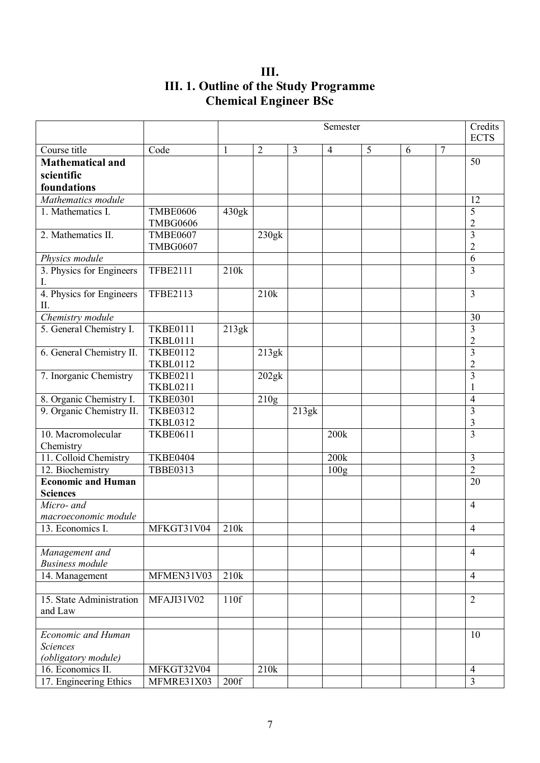**III. III. 1. Outline of the Study Programme Chemical Engineer BSc**

|                                 |                 | Semester          |                   |                |                  |   |   |                | Credits<br><b>ECTS</b>  |
|---------------------------------|-----------------|-------------------|-------------------|----------------|------------------|---|---|----------------|-------------------------|
| Course title                    | Code            | 1                 | $\overline{2}$    | $\overline{3}$ | $\overline{4}$   | 5 | 6 | $\overline{7}$ |                         |
| <b>Mathematical and</b>         |                 |                   |                   |                |                  |   |   |                | 50                      |
| scientific                      |                 |                   |                   |                |                  |   |   |                |                         |
| foundations                     |                 |                   |                   |                |                  |   |   |                |                         |
| Mathematics module              |                 |                   |                   |                |                  |   |   |                | 12                      |
| 1. Mathematics I.               | <b>TMBE0606</b> | 430g <sub>k</sub> |                   |                |                  |   |   |                | 5                       |
|                                 | <b>TMBG0606</b> |                   |                   |                |                  |   |   |                | $\overline{2}$          |
| 2. Mathematics II.              | <b>TMBE0607</b> |                   | 230g <sub>k</sub> |                |                  |   |   |                | 3                       |
|                                 | <b>TMBG0607</b> |                   |                   |                |                  |   |   |                | $\overline{2}$          |
| Physics module                  |                 |                   |                   |                |                  |   |   |                | 6                       |
| 3. Physics for Engineers<br>I.  | <b>TFBE2111</b> | 210k              |                   |                |                  |   |   |                | $\overline{3}$          |
| 4. Physics for Engineers<br>Π.  | <b>TFBE2113</b> |                   | 210k              |                |                  |   |   |                | $\overline{3}$          |
| Chemistry module                |                 |                   |                   |                |                  |   |   |                | 30                      |
| 5. General Chemistry I.         | <b>TKBE0111</b> | 213gk             |                   |                |                  |   |   |                | 3                       |
|                                 | <b>TKBL0111</b> |                   |                   |                |                  |   |   |                | $\overline{2}$          |
| 6. General Chemistry II.        | <b>TKBE0112</b> |                   | 213g <sub>k</sub> |                |                  |   |   |                | $\overline{3}$          |
|                                 | <b>TKBL0112</b> |                   |                   |                |                  |   |   |                | $\overline{2}$          |
| 7. Inorganic Chemistry          | <b>TKBE0211</b> |                   | 202g <sub>k</sub> |                |                  |   |   |                | $\overline{3}$          |
|                                 | <b>TKBL0211</b> |                   |                   |                |                  |   |   |                |                         |
| 8. Organic Chemistry I.         | <b>TKBE0301</b> |                   | 210g              |                |                  |   |   |                | $\overline{4}$          |
| 9. Organic Chemistry II.        | <b>TKBE0312</b> |                   |                   | 213gk          |                  |   |   |                | 3                       |
|                                 | <b>TKBL0312</b> |                   |                   |                |                  |   |   |                | 3                       |
| 10. Macromolecular<br>Chemistry | <b>TKBE0611</b> |                   |                   |                | 200k             |   |   |                | $\overline{\mathbf{3}}$ |
| 11. Colloid Chemistry           | <b>TKBE0404</b> |                   |                   |                | 200 <sub>k</sub> |   |   |                | $\overline{3}$          |
| 12. Biochemistry                | <b>TBBE0313</b> |                   |                   |                | 100g             |   |   |                | $\overline{2}$          |
| <b>Economic and Human</b>       |                 |                   |                   |                |                  |   |   |                | 20                      |
| <b>Sciences</b>                 |                 |                   |                   |                |                  |   |   |                |                         |
| Micro- and                      |                 |                   |                   |                |                  |   |   |                | $\overline{4}$          |
| macroeconomic module            |                 |                   |                   |                |                  |   |   |                |                         |
| 13. Economics I.                | MFKGT31V04      | 210k              |                   |                |                  |   |   |                | $\overline{4}$          |
|                                 |                 |                   |                   |                |                  |   |   |                |                         |
| Management and                  |                 |                   |                   |                |                  |   |   |                | $\overline{4}$          |
| <b>Business module</b>          |                 |                   |                   |                |                  |   |   |                |                         |
| 14. Management                  | MFMEN31V03      | 210k              |                   |                |                  |   |   |                | $\overline{4}$          |
| 15. State Administration        | MFAJI31V02      | 110f              |                   |                |                  |   |   |                | $\overline{2}$          |
| and Law                         |                 |                   |                   |                |                  |   |   |                |                         |
|                                 |                 |                   |                   |                |                  |   |   |                |                         |
| Economic and Human              |                 |                   |                   |                |                  |   |   |                | 10                      |
| <b>Sciences</b>                 |                 |                   |                   |                |                  |   |   |                |                         |
| (obligatory module)             |                 |                   |                   |                |                  |   |   |                |                         |
| 16. Economics II.               | MFKGT32V04      |                   | 210k              |                |                  |   |   |                | $\overline{4}$          |
| 17. Engineering Ethics          | MFMRE31X03      | 200f              |                   |                |                  |   |   |                | $\overline{3}$          |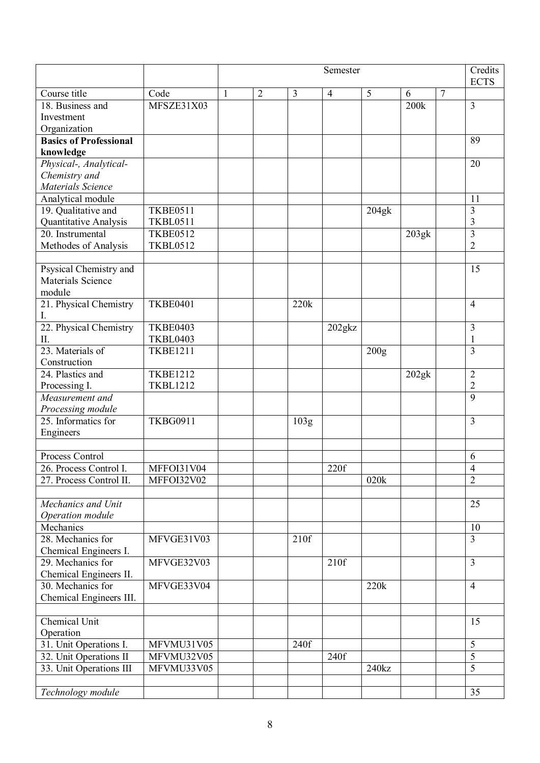|                                     |                 | Credits<br>Semester |                |                   |                |                   |                   |                |                         |
|-------------------------------------|-----------------|---------------------|----------------|-------------------|----------------|-------------------|-------------------|----------------|-------------------------|
|                                     |                 |                     |                |                   |                |                   |                   |                | <b>ECTS</b>             |
| Course title                        | Code            | 1                   | $\overline{2}$ | 3                 | $\overline{4}$ | 5                 | 6                 | $\overline{7}$ |                         |
| 18. Business and                    | MFSZE31X03      |                     |                |                   |                |                   | 200k              |                | $\overline{3}$          |
| Investment                          |                 |                     |                |                   |                |                   |                   |                |                         |
| Organization                        |                 |                     |                |                   |                |                   |                   |                |                         |
| <b>Basics of Professional</b>       |                 |                     |                |                   |                |                   |                   |                | 89                      |
| knowledge                           |                 |                     |                |                   |                |                   |                   |                |                         |
| Physical-, Analytical-              |                 |                     |                |                   |                |                   |                   |                | 20                      |
| Chemistry and                       |                 |                     |                |                   |                |                   |                   |                |                         |
| Materials Science                   |                 |                     |                |                   |                |                   |                   |                |                         |
| Analytical module                   |                 |                     |                |                   |                |                   |                   |                | 11                      |
| 19. Qualitative and                 | <b>TKBE0511</b> |                     |                |                   |                | 204g <sub>k</sub> |                   |                | 3                       |
| Quantitative Analysis               | <b>TKBL0511</b> |                     |                |                   |                |                   |                   |                | 3                       |
| 20. Instrumental                    | <b>TKBE0512</b> |                     |                |                   |                |                   | 203g <sub>k</sub> |                | $\overline{3}$          |
| Methodes of Analysis                | <b>TKBL0512</b> |                     |                |                   |                |                   |                   |                | $\overline{2}$          |
| Psysical Chemistry and              |                 |                     |                |                   |                |                   |                   |                | 15                      |
| <b>Materials Science</b>            |                 |                     |                |                   |                |                   |                   |                |                         |
| module                              |                 |                     |                |                   |                |                   |                   |                |                         |
| 21. Physical Chemistry              | <b>TKBE0401</b> |                     |                | 220k              |                |                   |                   |                | $\overline{4}$          |
| I.                                  |                 |                     |                |                   |                |                   |                   |                |                         |
| 22. Physical Chemistry              | <b>TKBE0403</b> |                     |                |                   | 202gkz         |                   |                   |                | 3                       |
| Π.                                  | <b>TKBL0403</b> |                     |                |                   |                |                   |                   |                |                         |
| 23. Materials of                    | <b>TKBE1211</b> |                     |                |                   |                | 200g              |                   |                | $\overline{3}$          |
| Construction                        |                 |                     |                |                   |                |                   |                   |                |                         |
| 24. Plastics and                    | <b>TKBE1212</b> |                     |                |                   |                |                   | 202gk             |                | $\overline{2}$          |
| Processing I.                       | <b>TKBL1212</b> |                     |                |                   |                |                   |                   |                | $\overline{2}$          |
| Measurement and                     |                 |                     |                |                   |                |                   |                   |                | $\overline{9}$          |
| Processing module                   |                 |                     |                |                   |                |                   |                   |                |                         |
| 25. Informatics for                 | <b>TKBG0911</b> |                     |                | $\overline{103g}$ |                |                   |                   |                | $\overline{3}$          |
| Engineers                           |                 |                     |                |                   |                |                   |                   |                |                         |
|                                     |                 |                     |                |                   |                |                   |                   |                |                         |
| Process Control                     |                 |                     |                |                   |                |                   |                   |                | 6                       |
| 26. Process Control I.              | MFFOI31V04      |                     |                |                   | 220f           |                   |                   |                | $\overline{4}$          |
| 27. Process Control II.             | MFFOI32V02      |                     |                |                   |                | 020k              |                   |                | $\overline{2}$          |
|                                     |                 |                     |                |                   |                |                   |                   |                |                         |
| Mechanics and Unit                  |                 |                     |                |                   |                |                   |                   |                | 25                      |
| Operation module                    |                 |                     |                |                   |                |                   |                   |                |                         |
| Mechanics                           |                 |                     |                |                   |                |                   |                   |                | 10                      |
| 28. Mechanics for                   | MFVGE31V03      |                     |                | 210f              |                |                   |                   |                | $\overline{3}$          |
| Chemical Engineers I.               |                 |                     |                |                   |                |                   |                   |                |                         |
| 29. Mechanics for                   | MFVGE32V03      |                     |                |                   | 210f           |                   |                   |                | $\overline{\mathbf{3}}$ |
| Chemical Engineers II.              |                 |                     |                |                   |                |                   |                   |                |                         |
| 30. Mechanics for                   | MFVGE33V04      |                     |                |                   |                | 220k              |                   |                | $\overline{4}$          |
| Chemical Engineers III.             |                 |                     |                |                   |                |                   |                   |                |                         |
|                                     |                 |                     |                |                   |                |                   |                   |                |                         |
| Chemical Unit                       |                 |                     |                |                   |                |                   |                   |                | 15                      |
| Operation<br>31. Unit Operations I. | MFVMU31V05      |                     |                | 240f              |                |                   |                   |                | 5                       |
| 32. Unit Operations II              | MFVMU32V05      |                     |                |                   | 240f           |                   |                   |                | 5                       |
| 33. Unit Operations III             | MFVMU33V05      |                     |                |                   |                | 240kz             |                   |                | 5                       |
|                                     |                 |                     |                |                   |                |                   |                   |                |                         |
| Technology module                   |                 |                     |                |                   |                |                   |                   |                | 35                      |
|                                     |                 |                     |                |                   |                |                   |                   |                |                         |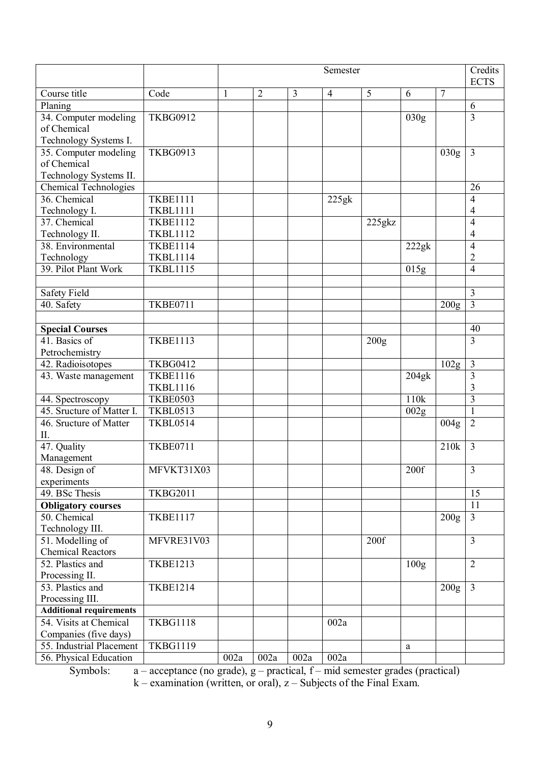|                                |                 | Semester |                |                |                   |           |                    |                  | Credits<br><b>ECTS</b>  |
|--------------------------------|-----------------|----------|----------------|----------------|-------------------|-----------|--------------------|------------------|-------------------------|
| Course title                   | Code            | 1        | $\overline{2}$ | $\overline{3}$ | $\overline{4}$    | 5         | 6                  | $\overline{7}$   |                         |
| Planing                        |                 |          |                |                |                   |           |                    |                  | 6                       |
| 34. Computer modeling          | <b>TKBG0912</b> |          |                |                |                   |           | 030g               |                  | $\overline{3}$          |
| of Chemical                    |                 |          |                |                |                   |           |                    |                  |                         |
| Technology Systems I.          |                 |          |                |                |                   |           |                    |                  |                         |
| 35. Computer modeling          | <b>TKBG0913</b> |          |                |                |                   |           |                    | 030g             | $\overline{3}$          |
| of Chemical                    |                 |          |                |                |                   |           |                    |                  |                         |
| Technology Systems II.         |                 |          |                |                |                   |           |                    |                  |                         |
| <b>Chemical Technologies</b>   |                 |          |                |                |                   |           |                    |                  | 26                      |
| 36. Chemical                   | <b>TKBE1111</b> |          |                |                | 225g <sub>k</sub> |           |                    |                  | $\overline{4}$          |
| Technology I.                  | <b>TKBL1111</b> |          |                |                |                   |           |                    |                  | 4                       |
| 37. Chemical                   | <b>TKBE1112</b> |          |                |                |                   | $225$ gkz |                    |                  | $\overline{4}$          |
| Technology II.                 | <b>TKBL1112</b> |          |                |                |                   |           |                    |                  | $\overline{4}$          |
| 38. Environmental              | <b>TKBE1114</b> |          |                |                |                   |           | 222gk              |                  | $\overline{4}$          |
| Technology                     | <b>TKBL1114</b> |          |                |                |                   |           |                    |                  | $\overline{c}$          |
| 39. Pilot Plant Work           | <b>TKBL1115</b> |          |                |                |                   |           | $\overline{0}$ 15g |                  | $\overline{4}$          |
|                                |                 |          |                |                |                   |           |                    |                  |                         |
| Safety Field                   |                 |          |                |                |                   |           |                    |                  | $\overline{3}$          |
| 40. Safety                     | <b>TKBE0711</b> |          |                |                |                   |           |                    | 200 <sub>g</sub> | $\overline{3}$          |
|                                |                 |          |                |                |                   |           |                    |                  |                         |
| <b>Special Courses</b>         |                 |          |                |                |                   |           |                    |                  | 40                      |
| 41. Basics of                  | <b>TKBE1113</b> |          |                |                |                   | 200g      |                    |                  | $\overline{3}$          |
| Petrochemistry                 |                 |          |                |                |                   |           |                    |                  |                         |
| 42. Radioisotopes              | <b>TKBG0412</b> |          |                |                |                   |           |                    | 102 <sub>g</sub> | $\overline{3}$          |
| 43. Waste management           | <b>TKBE1116</b> |          |                |                |                   |           | 204g <sub>k</sub>  |                  | 3                       |
|                                | <b>TKBL1116</b> |          |                |                |                   |           |                    |                  | 3                       |
| 44. Spectroscopy               | <b>TKBE0503</b> |          |                |                |                   |           | 110 <sub>k</sub>   |                  | $\overline{3}$          |
| 45. Sructure of Matter I.      | <b>TKBL0513</b> |          |                |                |                   |           | 002g               |                  | $\mathbf{1}$            |
| 46. Sructure of Matter<br>Π.   | <b>TKBL0514</b> |          |                |                |                   |           |                    | 004 <sub>g</sub> | $\overline{2}$          |
| 47. Quality                    | <b>TKBE0711</b> |          |                |                |                   |           |                    | 210k             | $\overline{3}$          |
| Management                     |                 |          |                |                |                   |           |                    |                  |                         |
| 48. Design of                  | MFVKT31X03      |          |                |                |                   |           | 200f               |                  | $\overline{\mathbf{3}}$ |
| experiments                    |                 |          |                |                |                   |           |                    |                  |                         |
| 49. BSc Thesis                 | <b>TKBG2011</b> |          |                |                |                   |           |                    |                  | 15                      |
| <b>Obligatory courses</b>      |                 |          |                |                |                   |           |                    |                  | 11                      |
| 50. Chemical                   | <b>TKBE1117</b> |          |                |                |                   |           |                    | 200 <sub>g</sub> | $\overline{3}$          |
| Technology III.                |                 |          |                |                |                   |           |                    |                  |                         |
| 51. Modelling of               | MFVRE31V03      |          |                |                |                   | 200f      |                    |                  | $\overline{3}$          |
| <b>Chemical Reactors</b>       |                 |          |                |                |                   |           |                    |                  |                         |
| 52. Plastics and               | <b>TKBE1213</b> |          |                |                |                   |           | 100 <sub>g</sub>   |                  | $\overline{2}$          |
| Processing II.                 |                 |          |                |                |                   |           |                    |                  |                         |
| 53. Plastics and               | <b>TKBE1214</b> |          |                |                |                   |           |                    | 200 <sub>g</sub> | $\overline{3}$          |
| Processing III.                |                 |          |                |                |                   |           |                    |                  |                         |
| <b>Additional requirements</b> |                 |          |                |                |                   |           |                    |                  |                         |
| 54. Visits at Chemical         | <b>TKBG1118</b> |          |                |                | 002a              |           |                    |                  |                         |
| Companies (five days)          |                 |          |                |                |                   |           |                    |                  |                         |
| 55. Industrial Placement       | <b>TKBG1119</b> |          |                |                |                   |           | a                  |                  |                         |
| 56. Physical Education         |                 | 002a     | 002a           | 002a           | 002a              |           |                    |                  |                         |

Symbols:  $a -$  acceptance (no grade),  $g -$  practical,  $f -$  mid semester grades (practical)

 $k$  – examination (written, or oral),  $z$  – Subjects of the Final Exam.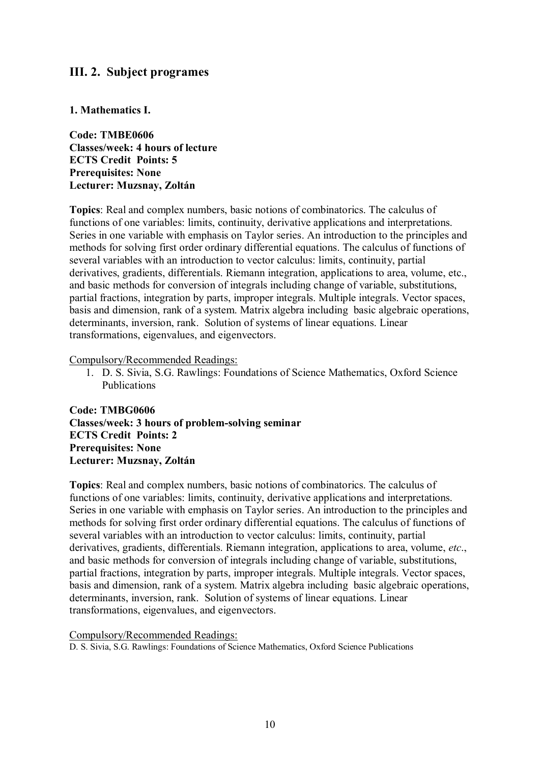# **III. 2. Subject programes**

### **1. Mathematics I.**

**Code: TMBE0606 Classes/week: 4 hours of lecture ECTS Credit Points: 5 Prerequisites: None Lecturer: Muzsnay, Zoltán**

**Topics**: Real and complex numbers, basic notions of combinatorics. The calculus of functions of one variables: limits, continuity, derivative applications and interpretations. Series in one variable with emphasis on Taylor series. An introduction to the principles and methods for solving first order ordinary differential equations. The calculus of functions of several variables with an introduction to vector calculus: limits, continuity, partial derivatives, gradients, differentials. Riemann integration, applications to area, volume, etc., and basic methods for conversion of integrals including change of variable, substitutions, partial fractions, integration by parts, improper integrals. Multiple integrals. Vector spaces, basis and dimension, rank of a system. Matrix algebra including basic algebraic operations, determinants, inversion, rank. Solution of systems of linear equations. Linear transformations, eigenvalues, and eigenvectors.

#### Compulsory/Recommended Readings:

1. D. S. Sivia, S.G. Rawlings: Foundations of Science Mathematics, Oxford Science Publications

**Code: TMBG0606 Classes/week: 3 hours of problem-solving seminar ECTS Credit Points: 2 Prerequisites: None Lecturer: Muzsnay, Zoltán**

**Topics**: Real and complex numbers, basic notions of combinatorics. The calculus of functions of one variables: limits, continuity, derivative applications and interpretations. Series in one variable with emphasis on Taylor series. An introduction to the principles and methods for solving first order ordinary differential equations. The calculus of functions of several variables with an introduction to vector calculus: limits, continuity, partial derivatives, gradients, differentials. Riemann integration, applications to area, volume, *etc*., and basic methods for conversion of integrals including change of variable, substitutions, partial fractions, integration by parts, improper integrals. Multiple integrals. Vector spaces, basis and dimension, rank of a system. Matrix algebra including basic algebraic operations, determinants, inversion, rank. Solution of systems of linear equations. Linear transformations, eigenvalues, and eigenvectors.

#### Compulsory/Recommended Readings:

D. S. Sivia, S.G. Rawlings: Foundations of Science Mathematics, Oxford Science Publications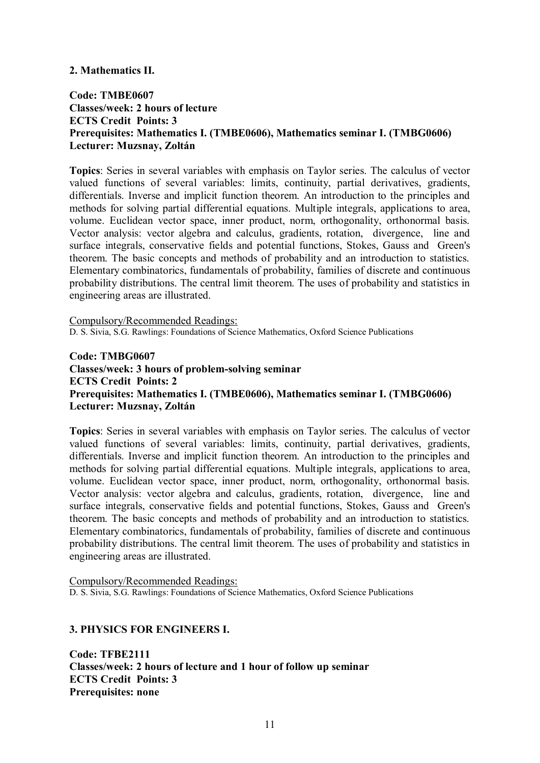#### **2. Mathematics II.**

# **Code: TMBE0607 Classes/week: 2 hours of lecture ECTS Credit Points: 3 Prerequisites: Mathematics I. (TMBE0606), Mathematics seminar I. (TMBG0606) Lecturer: Muzsnay, Zoltán**

**Topics**: Series in several variables with emphasis on Taylor series. The calculus of vector valued functions of several variables: limits, continuity, partial derivatives, gradients, differentials. Inverse and implicit function theorem. An introduction to the principles and methods for solving partial differential equations. Multiple integrals, applications to area, volume. Euclidean vector space, inner product, norm, orthogonality, orthonormal basis. Vector analysis: vector algebra and calculus, gradients, rotation, divergence, line and surface integrals, conservative fields and potential functions, Stokes, Gauss and Green's theorem. The basic concepts and methods of probability and an introduction to statistics. Elementary combinatorics, fundamentals of probability, families of discrete and continuous probability distributions. The central limit theorem. The uses of probability and statistics in engineering areas are illustrated.

Compulsory/Recommended Readings: D. S. Sivia, S.G. Rawlings: Foundations of Science Mathematics, Oxford Science Publications

# **Code: TMBG0607 Classes/week: 3 hours of problem-solving seminar ECTS Credit Points: 2 Prerequisites: Mathematics I. (TMBE0606), Mathematics seminar I. (TMBG0606) Lecturer: Muzsnay, Zoltán**

**Topics**: Series in several variables with emphasis on Taylor series. The calculus of vector valued functions of several variables: limits, continuity, partial derivatives, gradients, differentials. Inverse and implicit function theorem. An introduction to the principles and methods for solving partial differential equations. Multiple integrals, applications to area, volume. Euclidean vector space, inner product, norm, orthogonality, orthonormal basis. Vector analysis: vector algebra and calculus, gradients, rotation, divergence, line and surface integrals, conservative fields and potential functions, Stokes, Gauss and Green's theorem. The basic concepts and methods of probability and an introduction to statistics. Elementary combinatorics, fundamentals of probability, families of discrete and continuous probability distributions. The central limit theorem. The uses of probability and statistics in engineering areas are illustrated.

Compulsory/Recommended Readings: D. S. Sivia, S.G. Rawlings: Foundations of Science Mathematics, Oxford Science Publications

#### **3. PHYSICS FOR ENGINEERS I.**

**Code: TFBE2111 Classes/week: 2 hours of lecture and 1 hour of follow up seminar ECTS Credit Points: 3 Prerequisites: none**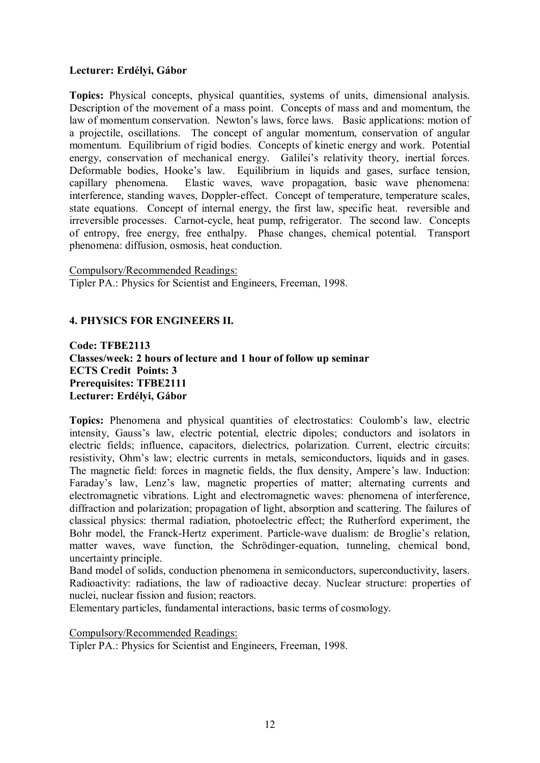# **Lecturer: Erdélyi, Gábor**

**Topics:** Physical concepts, physical quantities, systems of units, dimensional analysis. Description of the movement of a mass point. Concepts of mass and and momentum, the law of momentum conservation. Newton's laws, force laws. Basic applications: motion of a projectile, oscillations. The concept of angular momentum, conservation of angular momentum. Equilibrium of rigid bodies. Concepts of kinetic energy and work. Potential energy, conservation of mechanical energy. Galilei's relativity theory, inertial forces. Deformable bodies, Hooke's law. Equilibrium in liquids and gases, surface tension, capillary phenomena. Elastic waves, wave propagation, basic wave phenomena: interference, standing waves, Doppler-effect. Concept of temperature, temperature scales, state equations. Concept of internal energy, the first law, specific heat. reversible and irreversible processes. Carnot-cycle, heat pump, refrigerator. The second law. Concepts of entropy, free energy, free enthalpy. Phase changes, chemical potential. Transport phenomena: diffusion, osmosis, heat conduction.

#### Compulsory/Recommended Readings:

Tipler PA.: Physics for Scientist and Engineers, Freeman, 1998.

### **4. PHYSICS FOR ENGINEERS II.**

**Code: TFBE2113 Classes/week: 2 hours of lecture and 1 hour of follow up seminar ECTS Credit Points: 3 Prerequisites: TFBE2111 Lecturer: Erdélyi, Gábor**

**Topics:** Phenomena and physical quantities of electrostatics: Coulomb's law, electric intensity, Gauss's law, electric potential, electric dipoles; conductors and isolators in electric fields; influence, capacitors, dielectrics, polarization. Current, electric circuits: resistivity, Ohm's law; electric currents in metals, semiconductors, liquids and in gases. The magnetic field: forces in magnetic fields, the flux density, Ampere's law. Induction: Faraday's law, Lenz's law, magnetic properties of matter; alternating currents and electromagnetic vibrations. Light and electromagnetic waves: phenomena of interference, diffraction and polarization; propagation of light, absorption and scattering. The failures of classical physics: thermal radiation, photoelectric effect; the Rutherford experiment, the Bohr model, the Franck-Hertz experiment. Particle-wave dualism: de Broglie's relation, matter waves, wave function, the Schrödinger-equation, tunneling, chemical bond, uncertainty principle.

Band model of solids, conduction phenomena in semiconductors, superconductivity, lasers. Radioactivity: radiations, the law of radioactive decay. Nuclear structure: properties of nuclei, nuclear fission and fusion; reactors.

Elementary particles, fundamental interactions, basic terms of cosmology.

Compulsory/Recommended Readings:

Tipler PA.: Physics for Scientist and Engineers, Freeman, 1998.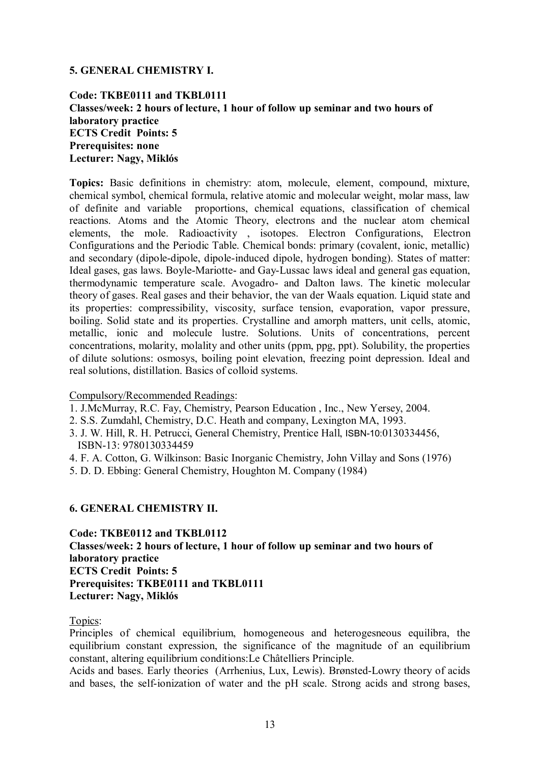# **5. GENERAL CHEMISTRY I.**

# **Code: TKBE0111 and TKBL0111 Classes/week: 2 hours of lecture, 1 hour of follow up seminar and two hours of laboratory practice ECTS Credit Points: 5 Prerequisites: none Lecturer: Nagy, Miklós**

**Topics:** Basic definitions in chemistry: atom, molecule, element, compound, mixture, chemical symbol, chemical formula, relative atomic and molecular weight, molar mass, law of definite and variable proportions, chemical equations, classification of chemical reactions. Atoms and the Atomic Theory, electrons and the nuclear atom chemical elements, the mole. Radioactivity , isotopes. Electron Configurations, Electron Configurations and the Periodic Table. Chemical bonds: primary (covalent, ionic, metallic) and secondary (dipole-dipole, dipole-induced dipole, hydrogen bonding). States of matter: Ideal gases, gas laws. Boyle-Mariotte- and Gay-Lussac laws ideal and general gas equation, thermodynamic temperature scale. Avogadro- and Dalton laws. The kinetic molecular theory of gases. Real gases and their behavior, the van der Waals equation. Liquid state and its properties: compressibility, viscosity, surface tension, evaporation, vapor pressure, boiling. Solid state and its properties. Crystalline and amorph matters, unit cells, atomic, metallic, ionic and molecule lustre. Solutions. Units of concentrations, percent concentrations, molarity, molality and other units (ppm, ppg, ppt). Solubility, the properties of dilute solutions: osmosys, boiling point elevation, freezing point depression. Ideal and real solutions, distillation. Basics of colloid systems.

#### Compulsory/Recommended Readings:

- 1. J.McMurray, R.C. Fay, Chemistry, Pearson Education , Inc., New Yersey, 2004.
- 2. S.S. Zumdahl, Chemistry, D.C. Heath and company, Lexington MA, 1993.
- 3. J. W. Hill, R. H. Petrucci, General Chemistry, Prentice Hall, ISBN-10:0130334456, ISBN-13: 9780130334459
- 4. F. A. Cotton, G. Wilkinson: Basic Inorganic Chemistry, John Villay and Sons (1976)
- 5. D. D. Ebbing: General Chemistry, Houghton M. Company (1984)

#### **6. GENERAL CHEMISTRY II.**

**Code: TKBE0112 and TKBL0112 Classes/week: 2 hours of lecture, 1 hour of follow up seminar and two hours of laboratory practice ECTS Credit Points: 5 Prerequisites: TKBE0111 and TKBL0111 Lecturer: Nagy, Miklós**

#### Topics:

Principles of chemical equilibrium, homogeneous and heterogesneous equilibra, the equilibrium constant expression, the significance of the magnitude of an equilibrium constant, altering equilibrium conditions:Le Châtelliers Principle.

Acids and bases. Early theories (Arrhenius, Lux, Lewis). Brønsted-Lowry theory of acids and bases, the self-ionization of water and the pH scale. Strong acids and strong bases,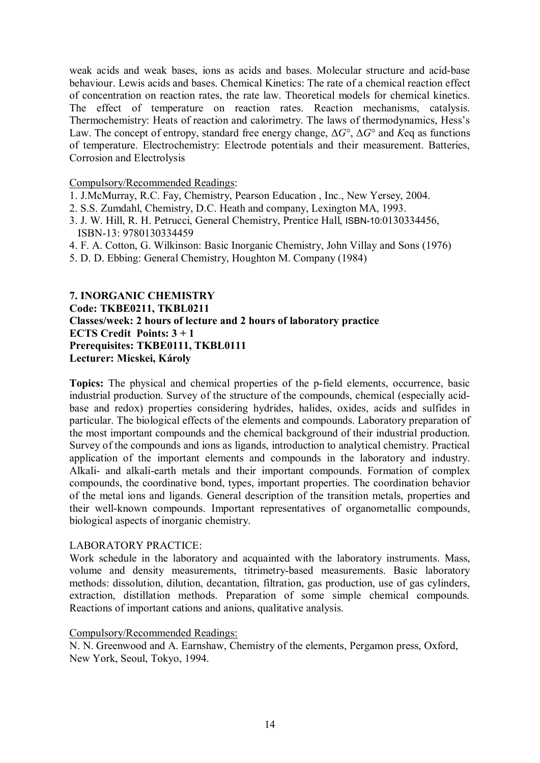weak acids and weak bases, ions as acids and bases. Molecular structure and acid-base behaviour. Lewis acids and bases. Chemical Kinetics: The rate of a chemical reaction effect of concentration on reaction rates, the rate law. Theoretical models for chemical kinetics. The effect of temperature on reaction rates. Reaction mechanisms, catalysis. Thermochemistry: Heats of reaction and calorimetry. The laws of thermodynamics, Hess's Law. The concept of entropy, standard free energy change, Δ*G*°, Δ*G*° and *K*eq as functions of temperature. Electrochemistry: Electrode potentials and their measurement. Batteries, Corrosion and Electrolysis

#### Compulsory/Recommended Readings:

- 1. J.McMurray, R.C. Fay, Chemistry, Pearson Education , Inc., New Yersey, 2004.
- 2. S.S. Zumdahl, Chemistry, D.C. Heath and company, Lexington MA, 1993.
- 3. J. W. Hill, R. H. Petrucci, General Chemistry, Prentice Hall, ISBN-10:0130334456, ISBN-13: 9780130334459
- 4. F. A. Cotton, G. Wilkinson: Basic Inorganic Chemistry, John Villay and Sons (1976)
- 5. D. D. Ebbing: General Chemistry, Houghton M. Company (1984)

# **7. INORGANIC CHEMISTRY Code: TKBE0211, TKBL0211 Classes/week: 2 hours of lecture and 2 hours of laboratory practice ECTS Credit Points: 3 + 1 Prerequisites: TKBE0111, TKBL0111 Lecturer: Micskei, Károly**

**Topics:** The physical and chemical properties of the p-field elements, occurrence, basic industrial production. Survey of the structure of the compounds, chemical (especially acidbase and redox) properties considering hydrides, halides, oxides, acids and sulfides in particular. The biological effects of the elements and compounds. Laboratory preparation of the most important compounds and the chemical background of their industrial production. Survey of the compounds and ions as ligands, introduction to analytical chemistry. Practical application of the important elements and compounds in the laboratory and industry. Alkali- and alkali-earth metals and their important compounds. Formation of complex compounds, the coordinative bond, types, important properties. The coordination behavior of the metal ions and ligands. General description of the transition metals, properties and their well-known compounds. Important representatives of organometallic compounds, biological aspects of inorganic chemistry.

#### LABORATORY PRACTICE:

Work schedule in the laboratory and acquainted with the laboratory instruments. Mass, volume and density measurements, titrimetry-based measurements. Basic laboratory methods: dissolution, dilution, decantation, filtration, gas production, use of gas cylinders, extraction, distillation methods. Preparation of some simple chemical compounds. Reactions of important cations and anions, qualitative analysis.

#### Compulsory/Recommended Readings:

N. N. Greenwood and A. Earnshaw, Chemistry of the elements, Pergamon press, Oxford, New York, Seoul, Tokyo, 1994.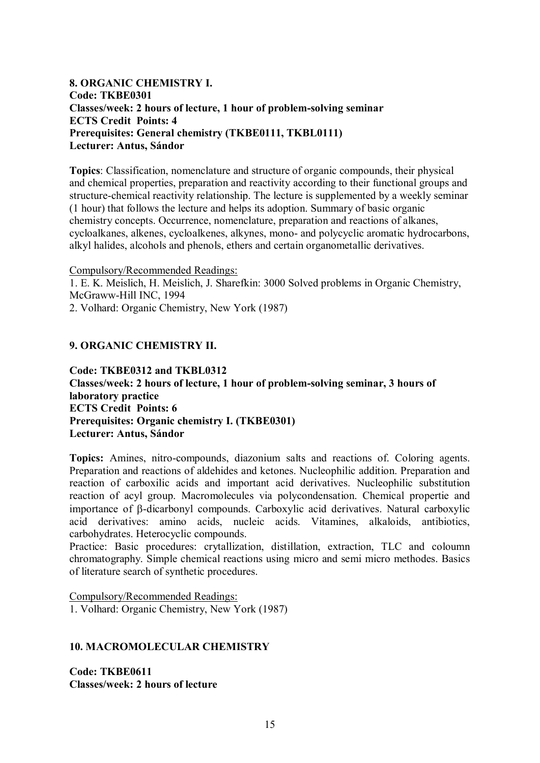# **8. ORGANIC CHEMISTRY I. Code: TKBE0301 Classes/week: 2 hours of lecture, 1 hour of problem-solving seminar ECTS Credit Points: 4 Prerequisites: General chemistry (TKBE0111, TKBL0111) Lecturer: Antus, Sándor**

**Topics**: Classification, nomenclature and structure of organic compounds, their physical and chemical properties, preparation and reactivity according to their functional groups and structure-chemical reactivity relationship. The lecture is supplemented by a weekly seminar (1 hour) that follows the lecture and helps its adoption. Summary of basic organic chemistry concepts. Occurrence, nomenclature, preparation and reactions of alkanes, cycloalkanes, alkenes, cycloalkenes, alkynes, mono- and polycyclic aromatic hydrocarbons, alkyl halides, alcohols and phenols, ethers and certain organometallic derivatives.

Compulsory/Recommended Readings:

1. E. K. Meislich, H. Meislich, J. Sharefkin: 3000 Solved problems in Organic Chemistry, McGraww-Hill INC, 1994

2. Volhard: Organic Chemistry, New York (1987)

### **9. ORGANIC CHEMISTRY II.**

**Code: TKBE0312 and TKBL0312 Classes/week: 2 hours of lecture, 1 hour of problem-solving seminar, 3 hours of laboratory practice ECTS Credit Points: 6 Prerequisites: Organic chemistry I. (TKBE0301) Lecturer: Antus, Sándor**

**Topics:** Amines, nitro-compounds, diazonium salts and reactions of. Coloring agents. Preparation and reactions of aldehides and ketones. Nucleophilic addition. Preparation and reaction of carboxilic acids and important acid derivatives. Nucleophilic substitution reaction of acyl group. Macromolecules via polycondensation. Chemical propertie and importance of b-dicarbonyl compounds. Carboxylic acid derivatives. Natural carboxylic acid derivatives: amino acids, nucleic acids. Vitamines, alkaloids, antibiotics, carbohydrates. Heterocyclic compounds.

Practice: Basic procedures: crytallization, distillation, extraction, TLC and coloumn chromatography. Simple chemical reactions using micro and semi micro methodes. Basics of literature search of synthetic procedures.

Compulsory/Recommended Readings: 1. Volhard: Organic Chemistry, New York (1987)

#### **10. MACROMOLECULAR CHEMISTRY**

**Code: TKBE0611 Classes/week: 2 hours of lecture**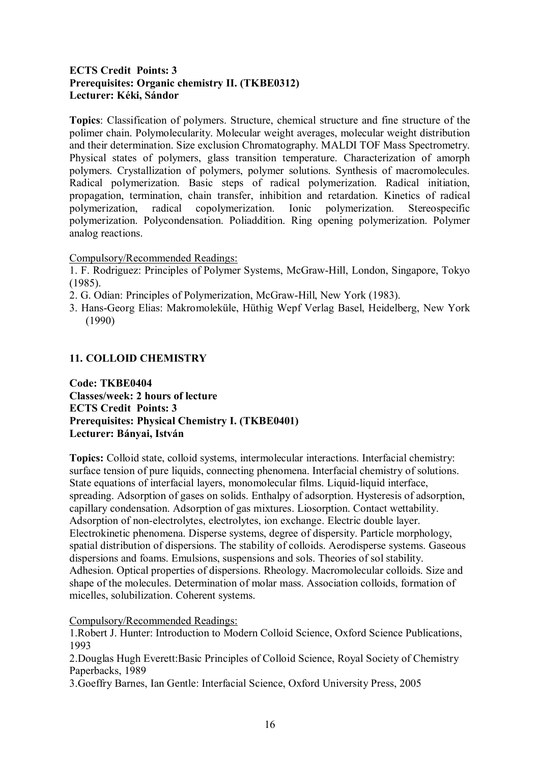# **ECTS Credit Points: 3 Prerequisites: Organic chemistry II. (TKBE0312) Lecturer: Kéki, Sándor**

**Topics**: Classification of polymers. Structure, chemical structure and fine structure of the polimer chain. Polymolecularity. Molecular weight averages, molecular weight distribution and their determination. Size exclusion Chromatography. MALDI TOF Mass Spectrometry. Physical states of polymers, glass transition temperature. Characterization of amorph polymers. Crystallization of polymers, polymer solutions. Synthesis of macromolecules. Radical polymerization. Basic steps of radical polymerization. Radical initiation, propagation, termination, chain transfer, inhibition and retardation. Kinetics of radical polymerization, radical copolymerization. Ionic polymerization. Stereospecific polymerization. Polycondensation. Poliaddition. Ring opening polymerization. Polymer analog reactions.

Compulsory/Recommended Readings:

1. F. Rodriguez: Principles of Polymer Systems, McGraw-Hill, London, Singapore, Tokyo (1985).

- 2. G. Odian: Principles of Polymerization, McGraw-Hill, New York (1983).
- 3. Hans-Georg Elias: Makromoleküle, Hüthig Wepf Verlag Basel, Heidelberg, New York (1990)

# **11. COLLOID CHEMISTRY**

**Code: TKBE0404 Classes/week: 2 hours of lecture ECTS Credit Points: 3 Prerequisites: Physical Chemistry I. (TKBE0401) Lecturer: Bányai, István**

**Topics:** Colloid state, colloid systems, intermolecular interactions. Interfacial chemistry: surface tension of pure liquids, connecting phenomena. Interfacial chemistry of solutions. State equations of interfacial layers, monomolecular films. Liquid-liquid interface, spreading. Adsorption of gases on solids. Enthalpy of adsorption. Hysteresis of adsorption, capillary condensation. Adsorption of gas mixtures. Liosorption. Contact wettability. Adsorption of non-electrolytes, electrolytes, ion exchange. Electric double layer. Electrokinetic phenomena. Disperse systems, degree of dispersity. Particle morphology, spatial distribution of dispersions. The stability of colloids. Aerodisperse systems. Gaseous dispersions and foams. Emulsions, suspensions and sols. Theories of sol stability. Adhesion. Optical properties of dispersions. Rheology. Macromolecular colloids. Size and shape of the molecules. Determination of molar mass. Association colloids, formation of micelles, solubilization. Coherent systems.

Compulsory/Recommended Readings:

1.Robert J. Hunter: Introduction to Modern Colloid Science, Oxford Science Publications, 1993

2.Douglas Hugh Everett:Basic Principles of Colloid Science, Royal Society of Chemistry Paperbacks, 1989

3.Goeffry Barnes, Ian Gentle: Interfacial Science, Oxford University Press, 2005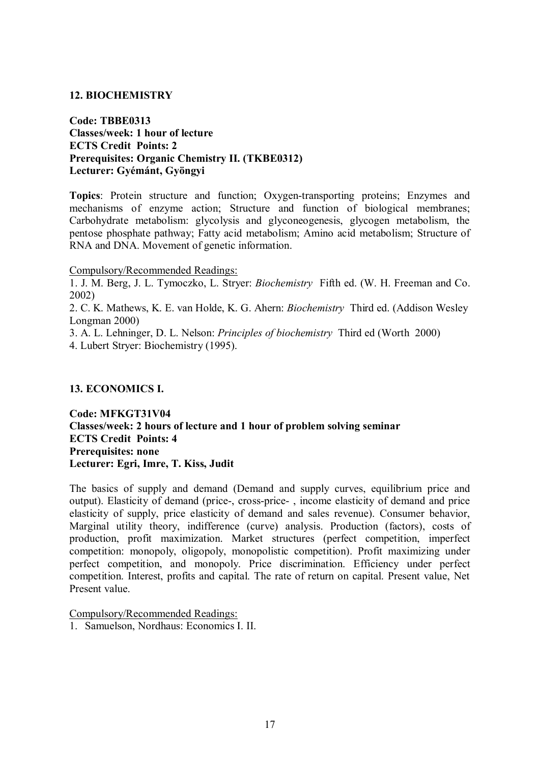#### **12. BIOCHEMISTRY**

**Code: TBBE0313 Classes/week: 1 hour of lecture ECTS Credit Points: 2 Prerequisites: Organic Chemistry II. (TKBE0312) Lecturer: Gyémánt, Gyöngyi**

**Topics**: Protein structure and function; Oxygen-transporting proteins; Enzymes and mechanisms of enzyme action; Structure and function of biological membranes; Carbohydrate metabolism: glycolysis and glyconeogenesis, glycogen metabolism, the pentose phosphate pathway; Fatty acid metabolism; Amino acid metabolism; Structure of RNA and DNA. Movement of genetic information.

Compulsory/Recommended Readings:

1. J. M. Berg, J. L. Tymoczko, L. Stryer: *Biochemistry* Fifth ed. (W. H. Freeman and Co. 2002)

2. C. K. Mathews, K. E. van Holde, K. G. Ahern: *Biochemistry* Third ed. (Addison Wesley Longman 2000)

3. A. L. Lehninger, D. L. Nelson: *Principles of biochemistry* Third ed (Worth 2000)

4. Lubert Stryer: Biochemistry (1995).

#### **13. ECONOMICS I.**

**Code: MFKGT31V04 Classes/week: 2 hours of lecture and 1 hour of problem solving seminar ECTS Credit Points: 4 Prerequisites: none Lecturer: Egri, Imre, T. Kiss, Judit**

The basics of supply and demand (Demand and supply curves, equilibrium price and output). Elasticity of demand (price-, cross-price- , income elasticity of demand and price elasticity of supply, price elasticity of demand and sales revenue). Consumer behavior, Marginal utility theory, indifference (curve) analysis. Production (factors), costs of production, profit maximization. Market structures (perfect competition, imperfect competition: monopoly, oligopoly, monopolistic competition). Profit maximizing under perfect competition, and monopoly. Price discrimination. Efficiency under perfect competition. Interest, profits and capital. The rate of return on capital. Present value, Net Present value.

Compulsory/Recommended Readings:

1. Samuelson, Nordhaus: Economics I. II.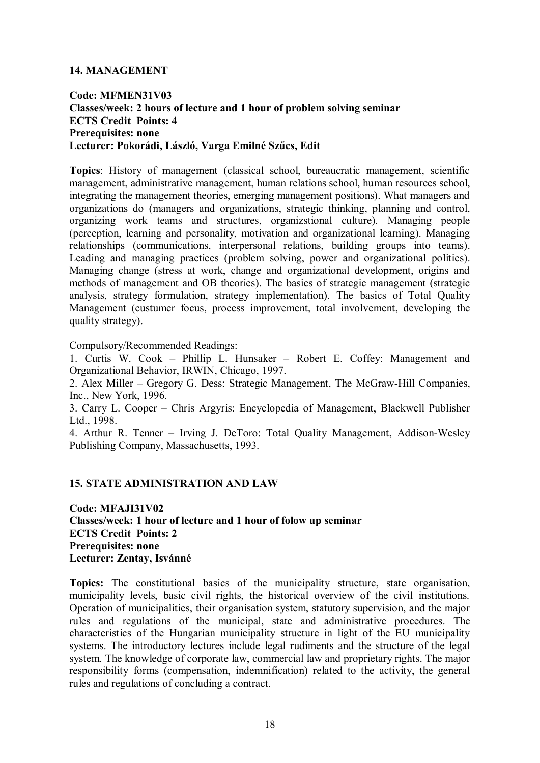#### **14. MANAGEMENT**

# **Code: MFMEN31V03 Classes/week: 2 hours of lecture and 1 hour of problem solving seminar ECTS Credit Points: 4 Prerequisites: none Lecturer: Pokorádi, László, Varga Emilné Szűcs, Edit**

**Topics**: History of management (classical school, bureaucratic management, scientific management, administrative management, human relations school, human resources school, integrating the management theories, emerging management positions). What managers and organizations do (managers and organizations, strategic thinking, planning and control, organizing work teams and structures, organizstional culture). Managing people (perception, learning and personality, motivation and organizational learning). Managing relationships (communications, interpersonal relations, building groups into teams). Leading and managing practices (problem solving, power and organizational politics). Managing change (stress at work, change and organizational development, origins and methods of management and OB theories). The basics of strategic management (strategic analysis, strategy formulation, strategy implementation). The basics of Total Quality Management (custumer focus, process improvement, total involvement, developing the quality strategy).

Compulsory/Recommended Readings:

1. Curtis W. Cook – Phillip L. Hunsaker – Robert E. Coffey: Management and Organizational Behavior, IRWIN, Chicago, 1997.

2. Alex Miller – Gregory G. Dess: Strategic Management, The McGraw-Hill Companies, Inc., New York, 1996.

3. Carry L. Cooper – Chris Argyris: Encyclopedia of Management, Blackwell Publisher Ltd., 1998.

4. Arthur R. Tenner – Irving J. DeToro: Total Quality Management, Addison-Wesley Publishing Company, Massachusetts, 1993.

#### **15. STATE ADMINISTRATION AND LAW**

**Code: MFAJI31V02 Classes/week: 1 hour of lecture and 1 hour of folow up seminar ECTS Credit Points: 2 Prerequisites: none Lecturer: Zentay, Isvánné**

**Topics:** The constitutional basics of the municipality structure, state organisation, municipality levels, basic civil rights, the historical overview of the civil institutions. Operation of municipalities, their organisation system, statutory supervision, and the major rules and regulations of the municipal, state and administrative procedures. The characteristics of the Hungarian municipality structure in light of the EU municipality systems. The introductory lectures include legal rudiments and the structure of the legal system. The knowledge of corporate law, commercial law and proprietary rights. The major responsibility forms (compensation, indemnification) related to the activity, the general rules and regulations of concluding a contract.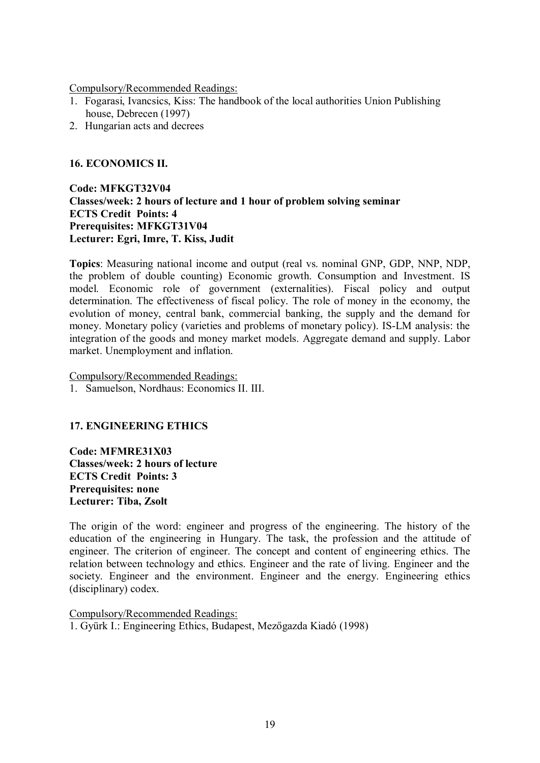Compulsory/Recommended Readings:

- 1. Fogarasi, Ivancsics, Kiss: The handbook of the local authorities Union Publishing house, Debrecen (1997)
- 2. Hungarian acts and decrees

#### **16. ECONOMICS II.**

**Code: MFKGT32V04 Classes/week: 2 hours of lecture and 1 hour of problem solving seminar ECTS Credit Points: 4 Prerequisites: MFKGT31V04 Lecturer: Egri, Imre, T. Kiss, Judit**

**Topics**: Measuring national income and output (real vs. nominal GNP, GDP, NNP, NDP, the problem of double counting) Economic growth. Consumption and Investment. IS model. Economic role of government (externalities). Fiscal policy and output determination. The effectiveness of fiscal policy. The role of money in the economy, the evolution of money, central bank, commercial banking, the supply and the demand for money. Monetary policy (varieties and problems of monetary policy). IS-LM analysis: the integration of the goods and money market models. Aggregate demand and supply. Labor market. Unemployment and inflation.

Compulsory/Recommended Readings:

1. Samuelson, Nordhaus: Economics II. III.

# **17. ENGINEERING ETHICS**

**Code: MFMRE31X03 Classes/week: 2 hours of lecture ECTS Credit Points: 3 Prerequisites: none Lecturer: Tiba, Zsolt**

The origin of the word: engineer and progress of the engineering. The history of the education of the engineering in Hungary. The task, the profession and the attitude of engineer. The criterion of engineer. The concept and content of engineering ethics. The relation between technology and ethics. Engineer and the rate of living. Engineer and the society. Engineer and the environment. Engineer and the energy. Engineering ethics (disciplinary) codex.

Compulsory/Recommended Readings: 1. Gyürk I.: Engineering Ethics, Budapest, Mezőgazda Kiadó (1998)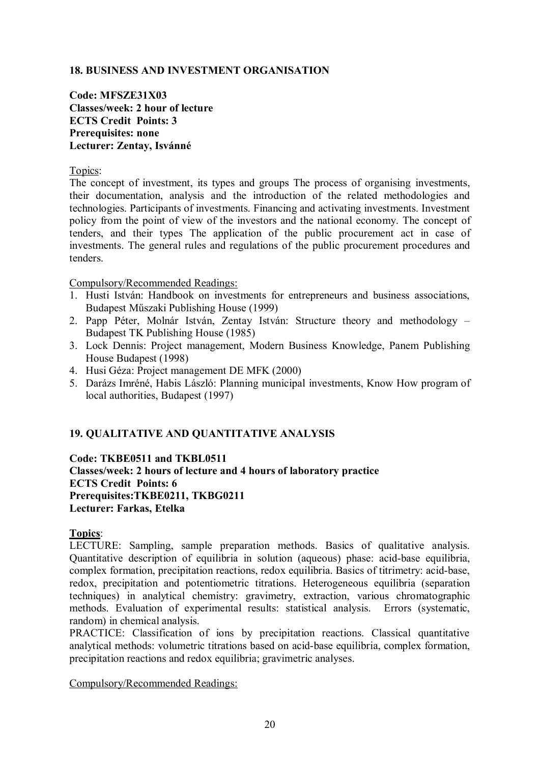# **18. BUSINESS AND INVESTMENT ORGANISATION**

**Code: MFSZE31X03 Classes/week: 2 hour of lecture ECTS Credit Points: 3 Prerequisites: none Lecturer: Zentay, Isvánné**

Topics:

The concept of investment, its types and groups The process of organising investments, their documentation, analysis and the introduction of the related methodologies and technologies. Participants of investments. Financing and activating investments. Investment policy from the point of view of the investors and the national economy. The concept of tenders, and their types The application of the public procurement act in case of investments. The general rules and regulations of the public procurement procedures and tenders.

Compulsory/Recommended Readings:

- 1. Husti István: Handbook on investments for entrepreneurs and business associations, Budapest Műszaki Publishing House (1999)
- 2. Papp Péter, Molnár István, Zentay István: Structure theory and methodology Budapest TK Publishing House (1985)
- 3. Lock Dennis: Project management, Modern Business Knowledge, Panem Publishing House Budapest (1998)
- 4. Husi Géza: Project management DE MFK (2000)
- 5. Darázs Imréné, Habis László: Planning municipal investments, Know How program of local authorities, Budapest (1997)

# **19. QUALITATIVE AND QUANTITATIVE ANALYSIS**

**Code: TKBE0511 and TKBL0511 Classes/week: 2 hours of lecture and 4 hours of laboratory practice ECTS Credit Points: 6 Prerequisites:TKBE0211, TKBG0211 Lecturer: Farkas, Etelka**

**Topics**:

LECTURE: Sampling, sample preparation methods. Basics of qualitative analysis. Quantitative description of equilibria in solution (aqueous) phase: acid-base equilibria, complex formation, precipitation reactions, redox equilibria. Basics of titrimetry: acid-base, redox, precipitation and potentiometric titrations. Heterogeneous equilibria (separation techniques) in analytical chemistry: gravimetry, extraction, various chromatographic methods. Evaluation of experimental results: statistical analysis. Errors (systematic, random) in chemical analysis.

PRACTICE: Classification of ions by precipitation reactions. Classical quantitative analytical methods: volumetric titrations based on acid-base equilibria, complex formation, precipitation reactions and redox equilibria; gravimetric analyses.

Compulsory/Recommended Readings: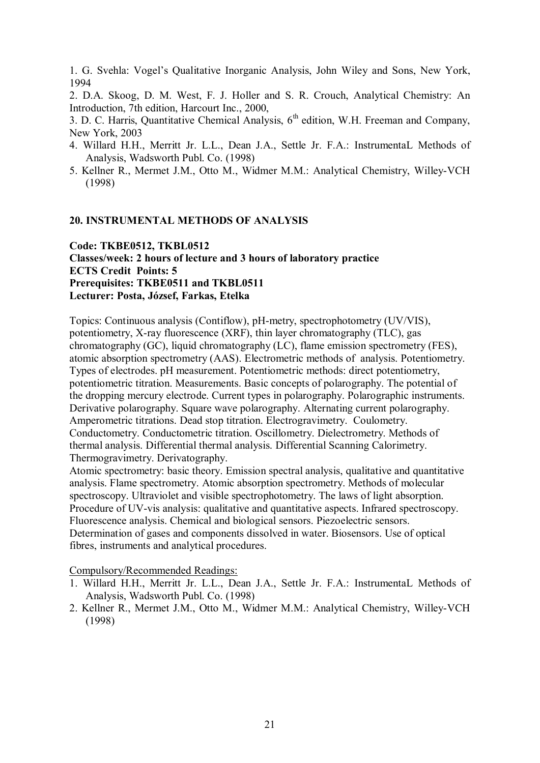1. G. Svehla: Vogel's Qualitative Inorganic Analysis, John Wiley and Sons, New York, 1994

2. D.A. Skoog, D. M. West, F. J. Holler and S. R. Crouch, Analytical Chemistry: An Introduction, 7th edition, Harcourt Inc., 2000,

3. D. C. Harris, Quantitative Chemical Analysis, 6<sup>th</sup> edition, W.H. Freeman and Company, New York, 2003

- 4. Willard H.H., Merritt Jr. L.L., Dean J.A., Settle Jr. F.A.: InstrumentaL Methods of Analysis, Wadsworth Publ. Co. (1998)
- 5. Kellner R., Mermet J.M., Otto M., Widmer M.M.: Analytical Chemistry, Willey-VCH (1998)

### **20. INSTRUMENTAL METHODS OF ANALYSIS**

**Code: TKBE0512, TKBL0512 Classes/week: 2 hours of lecture and 3 hours of laboratory practice ECTS Credit Points: 5 Prerequisites: TKBE0511 and TKBL0511 Lecturer: Posta, József, Farkas, Etelka**

Topics: Continuous analysis (Contiflow), pH-metry, spectrophotometry (UV/VIS), potentiometry, X-ray fluorescence (XRF), thin layer chromatography (TLC), gas chromatography (GC), liquid chromatography (LC), flame emission spectrometry (FES), atomic absorption spectrometry (AAS). Electrometric methods of analysis. Potentiometry. Types of electrodes. pH measurement. Potentiometric methods: direct potentiometry, potentiometric titration. Measurements. Basic concepts of polarography. The potential of the dropping mercury electrode. Current types in polarography. Polarographic instruments. Derivative polarography. Square wave polarography. Alternating current polarography. Amperometric titrations. Dead stop titration. Electrogravimetry. Coulometry. Conductometry. Conductometric titration. Oscillometry. Dielectrometry. Methods of thermal analysis. Differential thermal analysis. Differential Scanning Calorimetry. Thermogravimetry. Derivatography.

Atomic spectrometry: basic theory. Emission spectral analysis, qualitative and quantitative analysis. Flame spectrometry. Atomic absorption spectrometry. Methods of molecular spectroscopy. Ultraviolet and visible spectrophotometry. The laws of light absorption. Procedure of UV-vis analysis: qualitative and quantitative aspects. Infrared spectroscopy. Fluorescence analysis. Chemical and biological sensors. Piezoelectric sensors. Determination of gases and components dissolved in water. Biosensors. Use of optical fibres, instruments and analytical procedures.

Compulsory/Recommended Readings:

- 1. Willard H.H., Merritt Jr. L.L., Dean J.A., Settle Jr. F.A.: InstrumentaL Methods of Analysis, Wadsworth Publ. Co. (1998)
- 2. Kellner R., Mermet J.M., Otto M., Widmer M.M.: Analytical Chemistry, Willey-VCH (1998)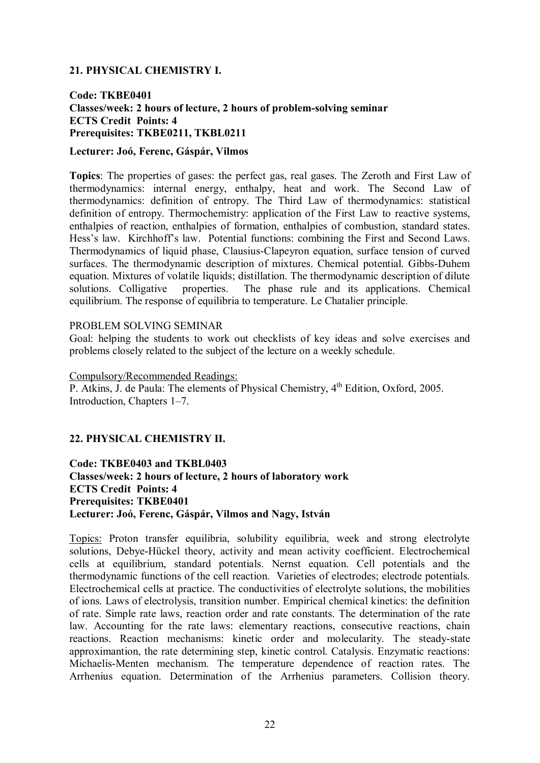# **21. PHYSICAL CHEMISTRY I.**

#### **Code: TKBE0401 Classes/week: 2 hours of lecture, 2 hours of problem-solving seminar ECTS Credit Points: 4 Prerequisites: TKBE0211, TKBL0211**

#### **Lecturer: Joó, Ferenc, Gáspár, Vilmos**

**Topics**: The properties of gases: the perfect gas, real gases. The Zeroth and First Law of thermodynamics: internal energy, enthalpy, heat and work. The Second Law of thermodynamics: definition of entropy. The Third Law of thermodynamics: statistical definition of entropy. Thermochemistry: application of the First Law to reactive systems, enthalpies of reaction, enthalpies of formation, enthalpies of combustion, standard states. Hess's law. Kirchhoff's law. Potential functions: combining the First and Second Laws. Thermodynamics of liquid phase, Clausius-Clapeyron equation, surface tension of curved surfaces. The thermodynamic description of mixtures. Chemical potential. Gibbs-Duhem equation. Mixtures of volatile liquids; distillation. The thermodynamic description of dilute solutions. Colligative properties. The phase rule and its applications. Chemical equilibrium. The response of equilibria to temperature. Le Chatalier principle.

#### PROBLEM SOLVING SEMINAR

Goal: helping the students to work out checklists of key ideas and solve exercises and problems closely related to the subject of the lecture on a weekly schedule.

#### Compulsory/Recommended Readings: P. Atkins, J. de Paula: The elements of Physical Chemistry, 4<sup>th</sup> Edition, Oxford, 2005. Introduction, Chapters 1–7.

# **22. PHYSICAL CHEMISTRY II.**

**Code: TKBE0403 and TKBL0403 Classes/week: 2 hours of lecture, 2 hours of laboratory work ECTS Credit Points: 4 Prerequisites: TKBE0401 Lecturer: Joó, Ferenc, Gáspár, Vilmos and Nagy, István**

Topics: Proton transfer equilibria, solubility equilibria, week and strong electrolyte solutions, Debye-Hückel theory, activity and mean activity coefficient. Electrochemical cells at equilibrium, standard potentials. Nernst equation. Cell potentials and the thermodynamic functions of the cell reaction. Varieties of electrodes; electrode potentials. Electrochemical cells at practice. The conductivities of electrolyte solutions, the mobilities of ions. Laws of electrolysis, transition number. Empirical chemical kinetics: the definition of rate. Simple rate laws, reaction order and rate constants. The determination of the rate law. Accounting for the rate laws: elementary reactions, consecutive reactions, chain reactions. Reaction mechanisms: kinetic order and molecularity. The steady-state approximantion, the rate determining step, kinetic control. Catalysis. Enzymatic reactions: Michaelis-Menten mechanism. The temperature dependence of reaction rates. The Arrhenius equation. Determination of the Arrhenius parameters. Collision theory.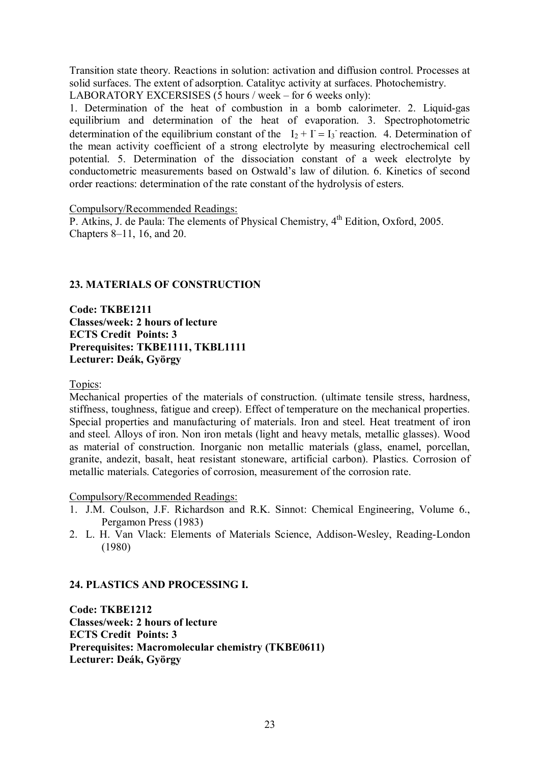Transition state theory. Reactions in solution: activation and diffusion control. Processes at solid surfaces. The extent of adsorption. Catalityc activity at surfaces. Photochemistry.

LABORATORY EXCERSISES (5 hours / week – for 6 weeks only):

1. Determination of the heat of combustion in a bomb calorimeter. 2. Liquid-gas equilibrium and determination of the heat of evaporation. 3. Spectrophotometric determination of the equilibrium constant of the  $I_2 + I = I_3$  reaction. 4. Determination of the mean activity coefficient of a strong electrolyte by measuring electrochemical cell potential. 5. Determination of the dissociation constant of a week electrolyte by conductometric measurements based on Ostwald's law of dilution. 6. Kinetics of second order reactions: determination of the rate constant of the hydrolysis of esters.

Compulsory/Recommended Readings:

P. Atkins, J. de Paula: The elements of Physical Chemistry,  $4<sup>th</sup>$  Edition, Oxford, 2005. Chapters 8–11, 16, and 20.

# **23. MATERIALS OF CONSTRUCTION**

**Code: TKBE1211 Classes/week: 2 hours of lecture ECTS Credit Points: 3 Prerequisites: TKBE1111, TKBL1111 Lecturer: Deák, György**

Topics:

Mechanical properties of the materials of construction. (ultimate tensile stress, hardness, stiffness, toughness, fatigue and creep). Effect of temperature on the mechanical properties. Special properties and manufacturing of materials. Iron and steel. Heat treatment of iron and steel. Alloys of iron. Non iron metals (light and heavy metals, metallic glasses). Wood as material of construction. Inorganic non metallic materials (glass, enamel, porcellan, granite, andezit, basalt, heat resistant stoneware, artificial carbon). Plastics. Corrosion of metallic materials. Categories of corrosion, measurement of the corrosion rate.

Compulsory/Recommended Readings:

- 1. J.M. Coulson, J.F. Richardson and R.K. Sinnot: Chemical Engineering, Volume 6., Pergamon Press (1983)
- 2. L. H. Van Vlack: Elements of Materials Science, Addison-Wesley, Reading-London (1980)

# **24. PLASTICS AND PROCESSING I.**

**Code: TKBE1212 Classes/week: 2 hours of lecture ECTS Credit Points: 3 Prerequisites: Macromolecular chemistry (TKBE0611) Lecturer: Deák, György**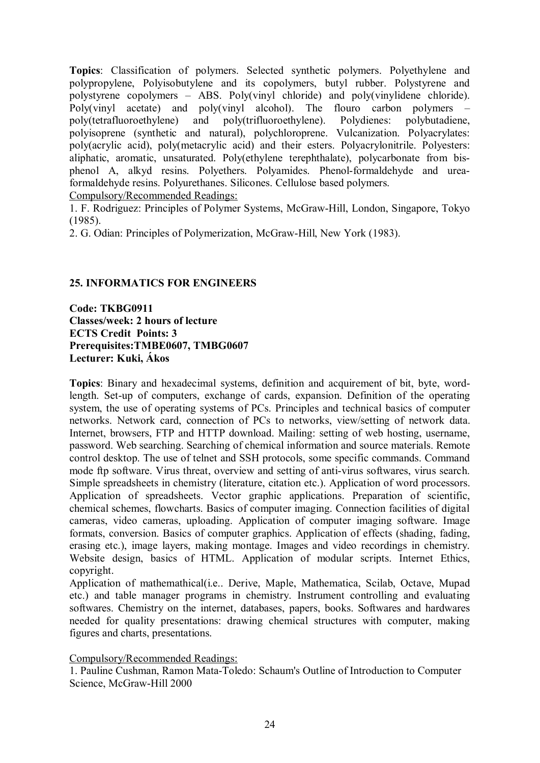**Topics**: Classification of polymers. Selected synthetic polymers. Polyethylene and polypropylene, Polyisobutylene and its copolymers, butyl rubber. Polystyrene and polystyrene copolymers – ABS. Poly(vinyl chloride) and poly(vinylidene chloride). Poly(vinyl acetate) and poly(vinyl alcohol). The flouro carbon polymers – poly(tetrafluoroethylene) and poly(trifluoroethylene). Polydienes: polybutadiene, polyisoprene (synthetic and natural), polychloroprene. Vulcanization. Polyacrylates: poly(acrylic acid), poly(metacrylic acid) and their esters. Polyacrylonitrile. Polyesters: aliphatic, aromatic, unsaturated. Poly(ethylene terephthalate), polycarbonate from bisphenol A, alkyd resins. Polyethers. Polyamides. Phenol-formaldehyde and ureaformaldehyde resins. Polyurethanes. Silicones. Cellulose based polymers. Compulsory/Recommended Readings:

1. F. Rodriguez: Principles of Polymer Systems, McGraw-Hill, London, Singapore, Tokyo (1985).

2. G. Odian: Principles of Polymerization, McGraw-Hill, New York (1983).

### **25. INFORMATICS FOR ENGINEERS**

**Code: TKBG0911 Classes/week: 2 hours of lecture ECTS Credit Points: 3 Prerequisites:TMBE0607, TMBG0607 Lecturer: Kuki, Ákos**

**Topics**: Binary and hexadecimal systems, definition and acquirement of bit, byte, wordlength. Set-up of computers, exchange of cards, expansion. Definition of the operating system, the use of operating systems of PCs. Principles and technical basics of computer networks. Network card, connection of PCs to networks, view/setting of network data. Internet, browsers, FTP and HTTP download. Mailing: setting of web hosting, username, password. Web searching. Searching of chemical information and source materials. Remote control desktop. The use of telnet and SSH protocols, some specific commands. Command mode ftp software. Virus threat, overview and setting of anti-virus softwares, virus search. Simple spreadsheets in chemistry (literature, citation etc.). Application of word processors. Application of spreadsheets. Vector graphic applications. Preparation of scientific, chemical schemes, flowcharts. Basics of computer imaging. Connection facilities of digital cameras, video cameras, uploading. Application of computer imaging software. Image formats, conversion. Basics of computer graphics. Application of effects (shading, fading, erasing etc.), image layers, making montage. Images and video recordings in chemistry. Website design, basics of HTML. Application of modular scripts. Internet Ethics, copyright.

Application of mathemathical(i.e.. Derive, Maple, Mathematica, Scilab, Octave, Mupad etc.) and table manager programs in chemistry. Instrument controlling and evaluating softwares. Chemistry on the internet, databases, papers, books. Softwares and hardwares needed for quality presentations: drawing chemical structures with computer, making figures and charts, presentations.

Compulsory/Recommended Readings:

1. Pauline Cushman, Ramon Mata-Toledo: Schaum's Outline of Introduction to Computer Science, McGraw-Hill 2000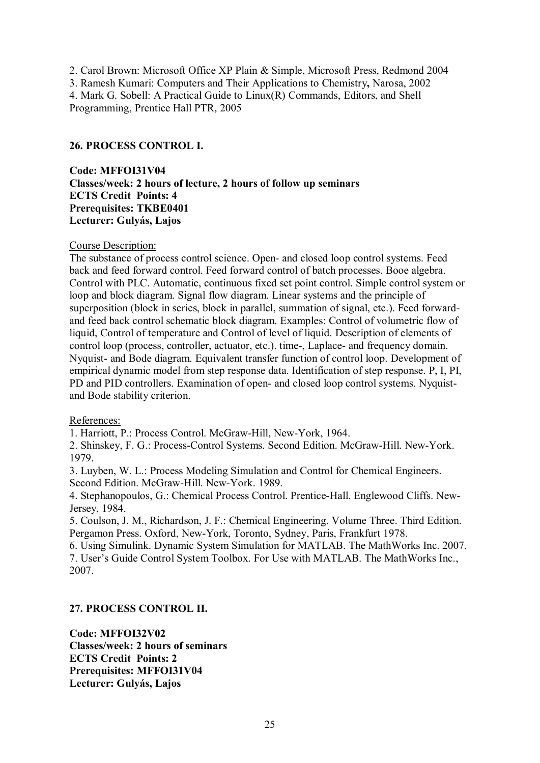2. Carol Brown: Microsoft Office XP Plain & Simple, Microsoft Press, Redmond 2004 3. Ramesh Kumari: Computers and Their Applications to Chemistry**,** Narosa, 2002 4. Mark G. Sobell: A Practical Guide to Linux(R) Commands, Editors, and Shell Programming, Prentice Hall PTR, 2005

# **26. PROCESS CONTROL I.**

**Code: MFFOI31V04 Classes/week: 2 hours of lecture, 2 hours of follow up seminars ECTS Credit Points: 4 Prerequisites: TKBE0401 Lecturer: Gulyás, Lajos**

#### Course Description:

The substance of process control science. Open- and closed loop control systems. Feed back and feed forward control. Feed forward control of batch processes. Booe algebra. Control with PLC. Automatic, continuous fixed set point control. Simple control system or loop and block diagram. Signal flow diagram. Linear systems and the principle of superposition (block in series, block in parallel, summation of signal, etc.). Feed forwardand feed back control schematic block diagram. Examples: Control of volumetric flow of liquid, Control of temperature and Control of level of liquid. Description of elements of control loop (process, controller, actuator, etc.). time-, Laplace- and frequency domain. Nyquist- and Bode diagram. Equivalent transfer function of control loop. Development of empirical dynamic model from step response data. Identification of step response. P, I, PI, PD and PID controllers. Examination of open- and closed loop control systems. Nyquistand Bode stability criterion.

#### References:

1. Harriott, P.: Process Control. McGraw-Hill, New-York, 1964.

2. Shinskey, F. G.: Process-Control Systems. Second Edition. McGraw-Hill. New-York. 1979.

3. Luyben, W. L.: Process Modeling Simulation and Control for Chemical Engineers. Second Edition. McGraw-Hill. New-York. 1989.

4. Stephanopoulos, G.: Chemical Process Control. Prentice-Hall. Englewood Cliffs. New-Jersey, 1984.

5. Coulson, J. M., Richardson, J. F.: Chemical Engineering. Volume Three. Third Edition. Pergamon Press. Oxford, New-York, Toronto, Sydney, Paris, Frankfurt 1978.

6. Using Simulink. Dynamic System Simulation for MATLAB. The MathWorks Inc. 2007. 7. User's Guide Control System Toolbox. For Use with MATLAB. The MathWorks Inc., 2007.

# **27. PROCESS CONTROL II.**

**Code: MFFOI32V02 Classes/week: 2 hours of seminars ECTS Credit Points: 2 Prerequisites: MFFOI31V04 Lecturer: Gulyás, Lajos**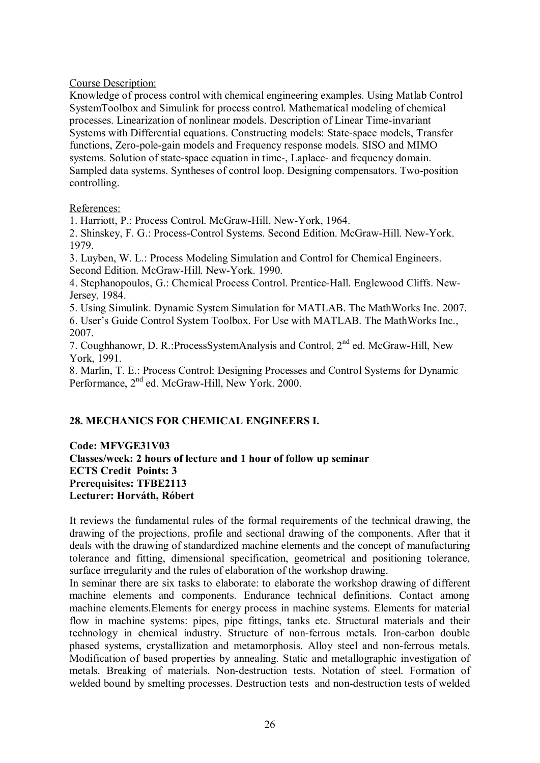# Course Description:

Knowledge of process control with chemical engineering examples. Using Matlab Control SystemToolbox and Simulink for process control. Mathematical modeling of chemical processes. Linearization of nonlinear models. Description of Linear Time-invariant Systems with Differential equations. Constructing models: State-space models, Transfer functions, Zero-pole-gain models and Frequency response models. SISO and MIMO systems. Solution of state-space equation in time-, Laplace- and frequency domain. Sampled data systems. Syntheses of control loop. Designing compensators. Two-position controlling.

### References:

1. Harriott, P.: Process Control. McGraw-Hill, New-York, 1964.

2. Shinskey, F. G.: Process-Control Systems. Second Edition. McGraw-Hill. New-York. 1979.

3. Luyben, W. L.: Process Modeling Simulation and Control for Chemical Engineers. Second Edition. McGraw-Hill. New-York. 1990.

4. Stephanopoulos, G.: Chemical Process Control. Prentice-Hall. Englewood Cliffs. New-Jersey, 1984.

5. Using Simulink. Dynamic System Simulation for MATLAB. The MathWorks Inc. 2007. 6. User's Guide Control System Toolbox. For Use with MATLAB. The MathWorks Inc., 2007.

7. Coughhanowr, D. R.: ProcessSystemAnalysis and Control, 2<sup>nd</sup> ed. McGraw-Hill, New York, 1991.

8. Marlin, T. E.: Process Control: Designing Processes and Control Systems for Dynamic Performance, 2<sup>nd</sup> ed. McGraw-Hill, New York. 2000.

# **28. MECHANICS FOR CHEMICAL ENGINEERS I.**

**Code: MFVGE31V03 Classes/week: 2 hours of lecture and 1 hour of follow up seminar ECTS Credit Points: 3 Prerequisites: TFBE2113 Lecturer: Horváth, Róbert**

It reviews the fundamental rules of the formal requirements of the technical drawing, the drawing of the projections, profile and sectional drawing of the components. After that it deals with the drawing of standardized machine elements and the concept of manufacturing tolerance and fitting, dimensional specification, geometrical and positioning tolerance, surface irregularity and the rules of elaboration of the workshop drawing.

In seminar there are six tasks to elaborate: to elaborate the workshop drawing of different machine elements and components. Endurance technical definitions. Contact among machine elements.Elements for energy process in machine systems. Elements for material flow in machine systems: pipes, pipe fittings, tanks etc. Structural materials and their technology in chemical industry. Structure of non-ferrous metals. Iron-carbon double phased systems, crystallization and metamorphosis. Alloy steel and non-ferrous metals. Modification of based properties by annealing. Static and metallographic investigation of metals. Breaking of materials. Non-destruction tests. Notation of steel. Formation of welded bound by smelting processes. Destruction tests and non-destruction tests of welded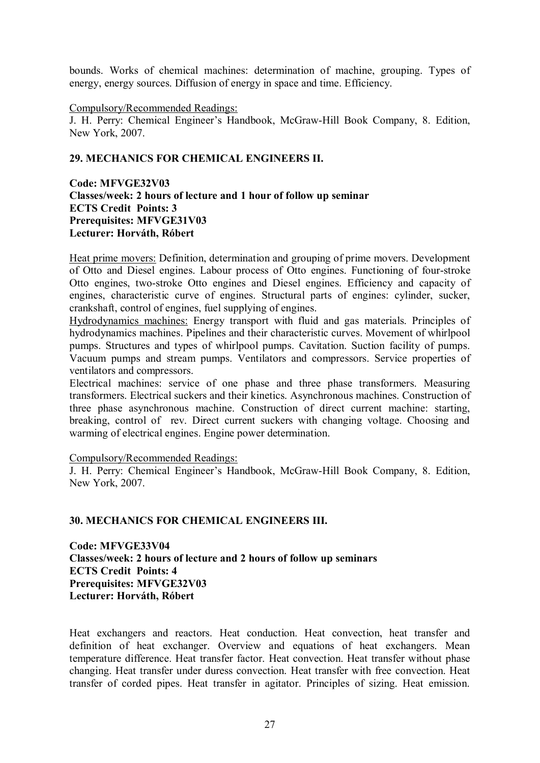bounds. Works of chemical machines: determination of machine, grouping. Types of energy, energy sources. Diffusion of energy in space and time. Efficiency.

#### Compulsory/Recommended Readings:

J. H. Perry: Chemical Engineer's Handbook, McGraw-Hill Book Company, 8. Edition, New York, 2007.

### **29. MECHANICS FOR CHEMICAL ENGINEERS II.**

**Code: MFVGE32V03 Classes/week: 2 hours of lecture and 1 hour of follow up seminar ECTS Credit Points: 3 Prerequisites: MFVGE31V03 Lecturer: Horváth, Róbert**

Heat prime movers: Definition, determination and grouping of prime movers. Development of Otto and Diesel engines. Labour process of Otto engines. Functioning of four-stroke Otto engines, two-stroke Otto engines and Diesel engines. Efficiency and capacity of engines, characteristic curve of engines. Structural parts of engines: cylinder, sucker, crankshaft, control of engines, fuel supplying of engines.

Hydrodynamics machines: Energy transport with fluid and gas materials. Principles of hydrodynamics machines. Pipelines and their characteristic curves. Movement of whirlpool pumps. Structures and types of whirlpool pumps. Cavitation. Suction facility of pumps. Vacuum pumps and stream pumps. Ventilators and compressors. Service properties of ventilators and compressors.

Electrical machines: service of one phase and three phase transformers. Measuring transformers. Electrical suckers and their kinetics. Asynchronous machines. Construction of three phase asynchronous machine. Construction of direct current machine: starting, breaking, control of rev. Direct current suckers with changing voltage. Choosing and warming of electrical engines. Engine power determination.

#### Compulsory/Recommended Readings:

J. H. Perry: Chemical Engineer's Handbook, McGraw-Hill Book Company, 8. Edition, New York, 2007.

#### **30. MECHANICS FOR CHEMICAL ENGINEERS III.**

**Code: MFVGE33V04 Classes/week: 2 hours of lecture and 2 hours of follow up seminars ECTS Credit Points: 4 Prerequisites: MFVGE32V03 Lecturer: Horváth, Róbert**

Heat exchangers and reactors. Heat conduction. Heat convection, heat transfer and definition of heat exchanger. Overview and equations of heat exchangers. Mean temperature difference. Heat transfer factor. Heat convection. Heat transfer without phase changing. Heat transfer under duress convection. Heat transfer with free convection. Heat transfer of corded pipes. Heat transfer in agitator. Principles of sizing. Heat emission.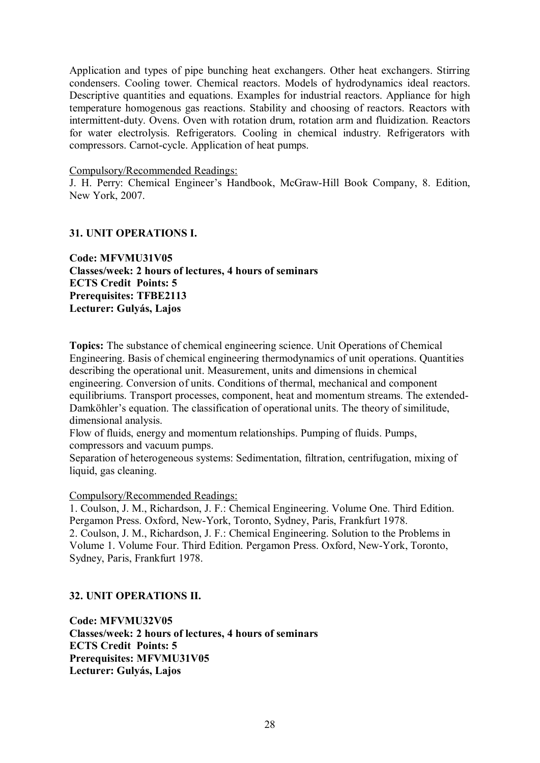Application and types of pipe bunching heat exchangers. Other heat exchangers. Stirring condensers. Cooling tower. Chemical reactors. Models of hydrodynamics ideal reactors. Descriptive quantities and equations. Examples for industrial reactors. Appliance for high temperature homogenous gas reactions. Stability and choosing of reactors. Reactors with intermittent-duty. Ovens. Oven with rotation drum, rotation arm and fluidization. Reactors for water electrolysis. Refrigerators. Cooling in chemical industry. Refrigerators with compressors. Carnot-cycle. Application of heat pumps.

#### Compulsory/Recommended Readings:

J. H. Perry: Chemical Engineer's Handbook, McGraw-Hill Book Company, 8. Edition, New York, 2007.

### **31. UNIT OPERATIONS I.**

**Code: MFVMU31V05 Classes/week: 2 hours of lectures, 4 hours of seminars ECTS Credit Points: 5 Prerequisites: TFBE2113 Lecturer: Gulyás, Lajos**

**Topics:** The substance of chemical engineering science. Unit Operations of Chemical Engineering. Basis of chemical engineering thermodynamics of unit operations. Quantities describing the operational unit. Measurement, units and dimensions in chemical engineering. Conversion of units. Conditions of thermal, mechanical and component equilibriums. Transport processes, component, heat and momentum streams. The extended-Damköhler's equation. The classification of operational units. The theory of similitude, dimensional analysis.

Flow of fluids, energy and momentum relationships. Pumping of fluids. Pumps, compressors and vacuum pumps.

Separation of heterogeneous systems: Sedimentation, filtration, centrifugation, mixing of liquid, gas cleaning.

#### Compulsory/Recommended Readings:

1. Coulson, J. M., Richardson, J. F.: Chemical Engineering. Volume One. Third Edition. Pergamon Press. Oxford, New-York, Toronto, Sydney, Paris, Frankfurt 1978. 2. Coulson, J. M., Richardson, J. F.: Chemical Engineering. Solution to the Problems in Volume 1. Volume Four. Third Edition. Pergamon Press. Oxford, New-York, Toronto, Sydney, Paris, Frankfurt 1978.

#### **32. UNIT OPERATIONS II.**

**Code: MFVMU32V05 Classes/week: 2 hours of lectures, 4 hours of seminars ECTS Credit Points: 5 Prerequisites: MFVMU31V05 Lecturer: Gulyás, Lajos**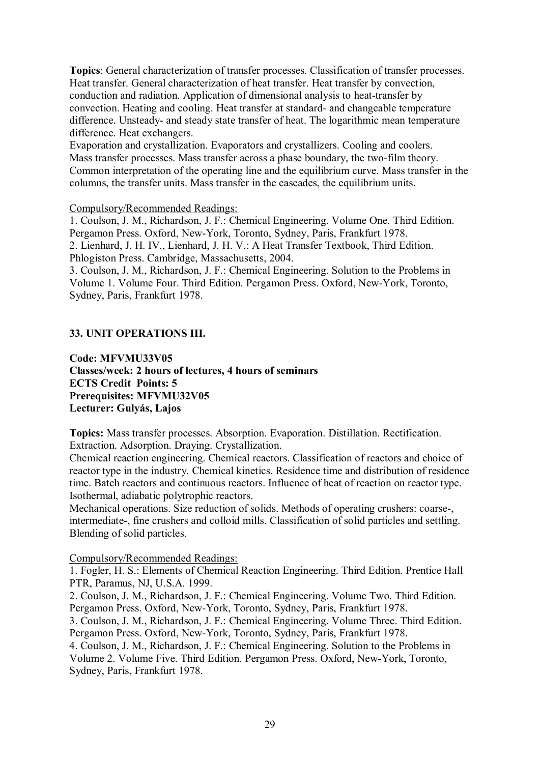**Topics**: General characterization of transfer processes. Classification of transfer processes. Heat transfer. General characterization of heat transfer. Heat transfer by convection, conduction and radiation. Application of dimensional analysis to heat-transfer by convection. Heating and cooling. Heat transfer at standard- and changeable temperature difference. Unsteady- and steady state transfer of heat. The logarithmic mean temperature difference. Heat exchangers.

Evaporation and crystallization. Evaporators and crystallizers. Cooling and coolers. Mass transfer processes. Mass transfer across a phase boundary, the two-film theory. Common interpretation of the operating line and the equilibrium curve. Mass transfer in the columns, the transfer units. Mass transfer in the cascades, the equilibrium units.

### Compulsory/Recommended Readings:

1. Coulson, J. M., Richardson, J. F.: Chemical Engineering. Volume One. Third Edition. Pergamon Press. Oxford, New-York, Toronto, Sydney, Paris, Frankfurt 1978. 2. Lienhard, J. H. IV., Lienhard, J. H. V.: A Heat Transfer Textbook, Third Edition. Phlogiston Press. Cambridge, Massachusetts, 2004.

3. Coulson, J. M., Richardson, J. F.: Chemical Engineering. Solution to the Problems in Volume 1. Volume Four. Third Edition. Pergamon Press. Oxford, New-York, Toronto, Sydney, Paris, Frankfurt 1978.

# **33. UNIT OPERATIONS III.**

**Code: MFVMU33V05 Classes/week: 2 hours of lectures, 4 hours of seminars ECTS Credit Points: 5 Prerequisites: MFVMU32V05 Lecturer: Gulyás, Lajos**

**Topics:** Mass transfer processes. Absorption. Evaporation. Distillation. Rectification. Extraction. Adsorption. Draying. Crystallization.

Chemical reaction engineering. Chemical reactors. Classification of reactors and choice of reactor type in the industry. Chemical kinetics. Residence time and distribution of residence time. Batch reactors and continuous reactors. Influence of heat of reaction on reactor type. Isothermal, adiabatic polytrophic reactors.

Mechanical operations. Size reduction of solids. Methods of operating crushers: coarse-, intermediate-, fine crushers and colloid mills. Classification of solid particles and settling. Blending of solid particles.

Compulsory/Recommended Readings:

1. Fogler, H. S.: Elements of Chemical Reaction Engineering. Third Edition. Prentice Hall PTR, Paramus, NJ, U.S.A. 1999.

2. Coulson, J. M., Richardson, J. F.: Chemical Engineering. Volume Two. Third Edition. Pergamon Press. Oxford, New-York, Toronto, Sydney, Paris, Frankfurt 1978.

3. Coulson, J. M., Richardson, J. F.: Chemical Engineering. Volume Three. Third Edition. Pergamon Press. Oxford, New-York, Toronto, Sydney, Paris, Frankfurt 1978.

4. Coulson, J. M., Richardson, J. F.: Chemical Engineering. Solution to the Problems in Volume 2. Volume Five. Third Edition. Pergamon Press. Oxford, New-York, Toronto, Sydney, Paris, Frankfurt 1978.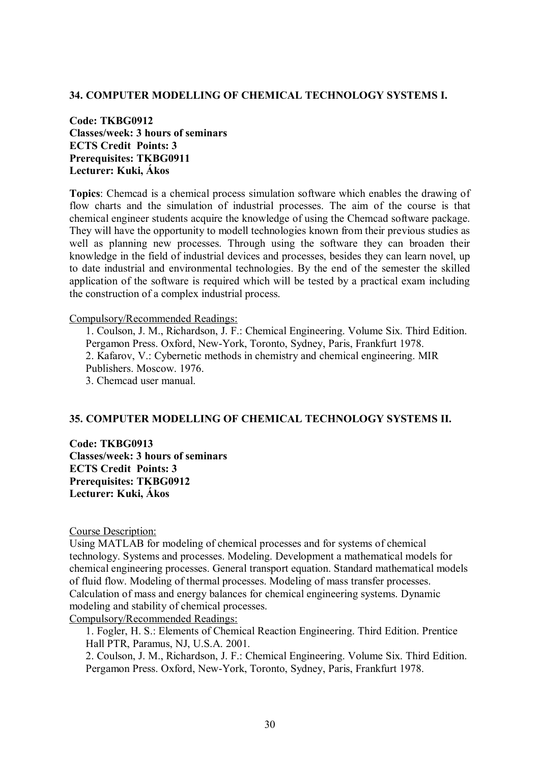#### **34. COMPUTER MODELLING OF CHEMICAL TECHNOLOGY SYSTEMS I.**

**Code: TKBG0912 Classes/week: 3 hours of seminars ECTS Credit Points: 3 Prerequisites: TKBG0911 Lecturer: Kuki, Ákos**

**Topics**: Chemcad is a chemical process simulation software which enables the drawing of flow charts and the simulation of industrial processes. The aim of the course is that chemical engineer students acquire the knowledge of using the Chemcad software package. They will have the opportunity to modell technologies known from their previous studies as well as planning new processes. Through using the software they can broaden their knowledge in the field of industrial devices and processes, besides they can learn novel, up to date industrial and environmental technologies. By the end of the semester the skilled application of the software is required which will be tested by a practical exam including the construction of a complex industrial process.

#### Compulsory/Recommended Readings:

1. Coulson, J. M., Richardson, J. F.: Chemical Engineering. Volume Six. Third Edition. Pergamon Press. Oxford, New-York, Toronto, Sydney, Paris, Frankfurt 1978. 2. Kafarov, V.: Cybernetic methods in chemistry and chemical engineering. MIR Publishers. Moscow. 1976. 3. Chemcad user manual.

### **35. COMPUTER MODELLING OF CHEMICAL TECHNOLOGY SYSTEMS II.**

**Code: TKBG0913 Classes/week: 3 hours of seminars ECTS Credit Points: 3 Prerequisites: TKBG0912 Lecturer: Kuki, Ákos**

Course Description:

Using MATLAB for modeling of chemical processes and for systems of chemical technology. Systems and processes. Modeling. Development a mathematical models for chemical engineering processes. General transport equation. Standard mathematical models of fluid flow. Modeling of thermal processes. Modeling of mass transfer processes. Calculation of mass and energy balances for chemical engineering systems. Dynamic modeling and stability of chemical processes.

Compulsory/Recommended Readings:

1. Fogler, H. S.: Elements of Chemical Reaction Engineering. Third Edition. Prentice Hall PTR, Paramus, NJ, U.S.A. 2001.

2. Coulson, J. M., Richardson, J. F.: Chemical Engineering. Volume Six. Third Edition. Pergamon Press. Oxford, New-York, Toronto, Sydney, Paris, Frankfurt 1978.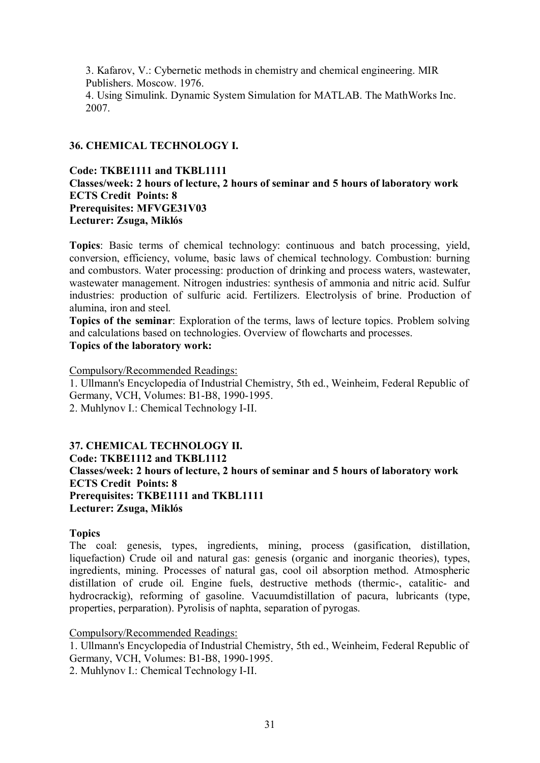3. Kafarov, V.: Cybernetic methods in chemistry and chemical engineering. MIR Publishers. Moscow. 1976. 4. Using Simulink. Dynamic System Simulation for MATLAB. The MathWorks Inc. 2007.

# **36. CHEMICAL TECHNOLOGY I.**

# **Code: TKBE1111 and TKBL1111 Classes/week: 2 hours of lecture, 2 hours of seminar and 5 hours of laboratory work ECTS Credit Points: 8 Prerequisites: MFVGE31V03 Lecturer: Zsuga, Miklós**

**Topics**: Basic terms of chemical technology: continuous and batch processing, yield, conversion, efficiency, volume, basic laws of chemical technology. Combustion: burning and combustors. Water processing: production of drinking and process waters, wastewater, wastewater management. Nitrogen industries: synthesis of ammonia and nitric acid. Sulfur industries: production of sulfuric acid. Fertilizers. Electrolysis of brine. Production of alumina, iron and steel.

**Topics of the seminar**: Exploration of the terms, laws of lecture topics. Problem solving and calculations based on technologies. Overview of flowcharts and processes. **Topics of the laboratory work:**

Compulsory/Recommended Readings: 1. Ullmann's Encyclopedia of Industrial Chemistry, 5th ed., Weinheim, Federal Republic of Germany, VCH, Volumes: B1-B8, 1990-1995. 2. Muhlynov I.: Chemical Technology I-II.

# **37. CHEMICAL TECHNOLOGY II. Code: TKBE1112 and TKBL1112 Classes/week: 2 hours of lecture, 2 hours of seminar and 5 hours of laboratory work ECTS Credit Points: 8 Prerequisites: TKBE1111 and TKBL1111 Lecturer: Zsuga, Miklós**

# **Topics**

The coal: genesis, types, ingredients, mining, process (gasification, distillation, liquefaction) Crude oil and natural gas: genesis (organic and inorganic theories), types, ingredients, mining. Processes of natural gas, cool oil absorption method. Atmospheric distillation of crude oil. Engine fuels, destructive methods (thermic-, catalitic- and hydrocrackig), reforming of gasoline. Vacuumdistillation of pacura, lubricants (type, properties, perparation). Pyrolisis of naphta, separation of pyrogas.

# Compulsory/Recommended Readings:

1. Ullmann's Encyclopedia of Industrial Chemistry, 5th ed., Weinheim, Federal Republic of Germany, VCH, Volumes: B1-B8, 1990-1995.

2. Muhlynov I.: Chemical Technology I-II.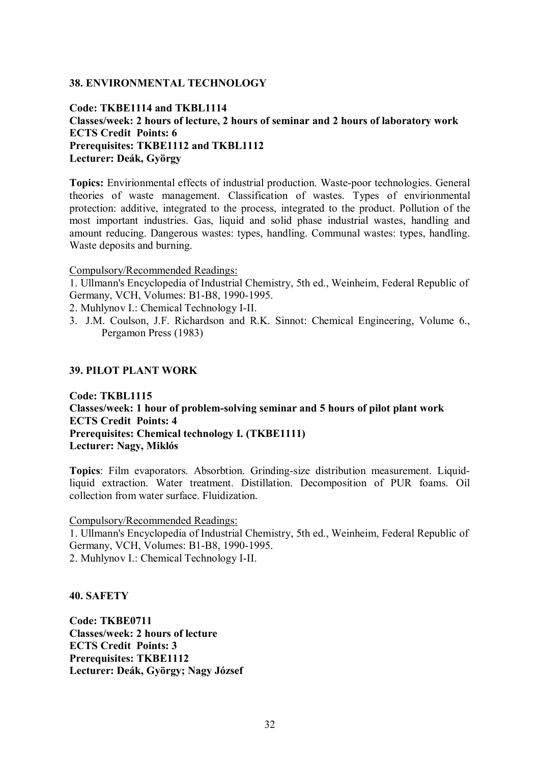#### **38. ENVIRONMENTAL TECHNOLOGY**

# **Code: TKBE1114 and TKBL1114 Classes/week: 2 hours of lecture, 2 hours of seminar and 2 hours of laboratory work ECTS Credit Points: 6 Prerequisites: TKBE1112 and TKBL1112 Lecturer: Deák, György**

**Topics:** Envirionmental effects of industrial production. Waste-poor technologies. General theories of waste management. Classification of wastes. Types of envirionmental protection: additive, integrated to the process, integrated to the product. Pollution of the most important industries. Gas, liquid and solid phase industrial wastes, handling and amount reducing. Dangerous wastes: types, handling. Communal wastes: types, handling. Waste deposits and burning.

Compulsory/Recommended Readings:

1. Ullmann's Encyclopedia of Industrial Chemistry, 5th ed., Weinheim, Federal Republic of Germany, VCH, Volumes: B1-B8, 1990-1995.

2. Muhlynov I.: Chemical Technology I-II.

3. J.M. Coulson, J.F. Richardson and R.K. Sinnot: Chemical Engineering, Volume 6., Pergamon Press (1983)

#### **39. PILOT PLANT WORK**

### **Code: TKBL1115 Classes/week: 1 hour of problem-solving seminar and 5 hours of pilot plant work ECTS Credit Points: 4 Prerequisites: Chemical technology I. (TKBE1111) Lecturer: Nagy, Miklós**

**Topics**: Film evaporators. Absorbtion. Grinding-size distribution measurement. Liquidliquid extraction. Water treatment. Distillation. Decomposition of PUR foams. Oil collection from water surface. Fluidization.

Compulsory/Recommended Readings:

1. Ullmann's Encyclopedia of Industrial Chemistry, 5th ed., Weinheim, Federal Republic of Germany, VCH, Volumes: B1-B8, 1990-1995. 2. Muhlynov I.: Chemical Technology I-II.

#### **40. SAFETY**

**Code: TKBE0711 Classes/week: 2 hours of lecture ECTS Credit Points: 3 Prerequisites: TKBE1112 Lecturer: Deák, György; Nagy József**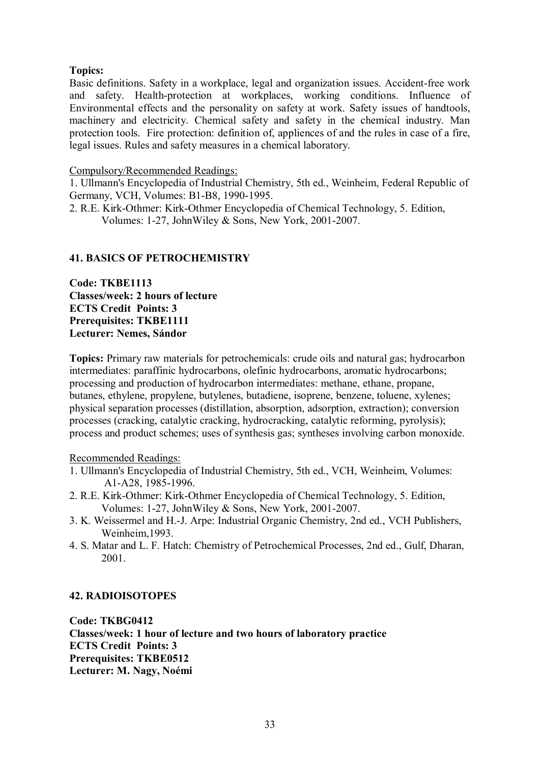# **Topics:**

Basic definitions. Safety in a workplace, legal and organization issues. Accident-free work and safety. Health-protection at workplaces, working conditions. Influence of Environmental effects and the personality on safety at work. Safety issues of handtools, machinery and electricity. Chemical safety and safety in the chemical industry. Man protection tools. Fire protection: definition of, appliences of and the rules in case of a fire, legal issues. Rules and safety measures in a chemical laboratory.

### Compulsory/Recommended Readings:

1. Ullmann's Encyclopedia of Industrial Chemistry, 5th ed., Weinheim, Federal Republic of Germany, VCH, Volumes: B1-B8, 1990-1995.

2. R.E. Kirk-Othmer: Kirk-Othmer Encyclopedia of Chemical Technology, 5. Edition, Volumes: 1-27, JohnWiley & Sons, New York, 2001-2007.

# **41. BASICS OF PETROCHEMISTRY**

**Code: TKBE1113 Classes/week: 2 hours of lecture ECTS Credit Points: 3 Prerequisites: TKBE1111 Lecturer: Nemes, Sándor**

**Topics:** Primary raw materials for petrochemicals: crude oils and natural gas; hydrocarbon intermediates: paraffinic hydrocarbons, olefinic hydrocarbons, aromatic hydrocarbons; processing and production of hydrocarbon intermediates: methane, ethane, propane, butanes, ethylene, propylene, butylenes, butadiene, isoprene, benzene, toluene, xylenes; physical separation processes (distillation, absorption, adsorption, extraction); conversion processes (cracking, catalytic cracking, hydrocracking, catalytic reforming, pyrolysis); process and product schemes; uses of synthesis gas; syntheses involving carbon monoxide.

#### Recommended Readings:

- 1. Ullmann's Encyclopedia of Industrial Chemistry, 5th ed., VCH, Weinheim, Volumes: A1-A28, 1985-1996.
- 2. R.E. Kirk-Othmer: Kirk-Othmer Encyclopedia of Chemical Technology, 5. Edition, Volumes: 1-27, JohnWiley & Sons, New York, 2001-2007.
- 3. K. Weissermel and H.-J. Arpe: Industrial Organic Chemistry, 2nd ed., VCH Publishers, Weinheim,1993.
- 4. S. Matar and L. F. Hatch: Chemistry of Petrochemical Processes, 2nd ed., Gulf, Dharan, 2001.

# **42. RADIOISOTOPES**

**Code: TKBG0412 Classes/week: 1 hour of lecture and two hours of laboratory practice ECTS Credit Points: 3 Prerequisites: TKBE0512 Lecturer: M. Nagy, Noémi**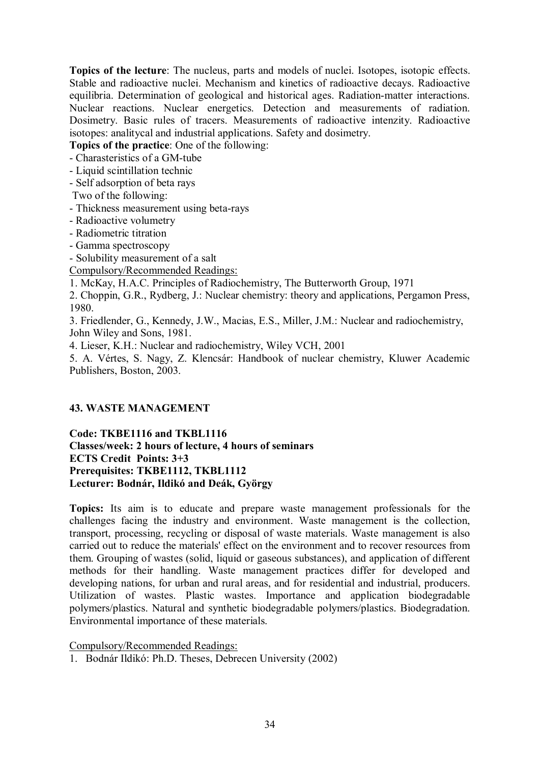**Topics of the lecture**: The nucleus, parts and models of nuclei. Isotopes, isotopic effects. Stable and radioactive nuclei. Mechanism and kinetics of radioactive decays. Radioactive equilibria. Determination of geological and historical ages. Radiation-matter interactions. Nuclear reactions. Nuclear energetics. Detection and measurements of radiation. Dosimetry. Basic rules of tracers. Measurements of radioactive intenzity. Radioactive isotopes: analitycal and industrial applications. Safety and dosimetry.

**Topics of the practice**: One of the following:

- Charasteristics of a GM-tube
- Liquid scintillation technic
- Self adsorption of beta rays
- Two of the following:
- Thickness measurement using beta-rays
- Radioactive volumetry
- Radiometric titration
- Gamma spectroscopy
- Solubility measurement of a salt
- Compulsory/Recommended Readings:
- 1. McKay, H.A.C. Principles of Radiochemistry, The Butterworth Group, 1971
- 2. Choppin, G.R., Rydberg, J.: Nuclear chemistry: theory and applications, Pergamon Press, 1980.
- 3. Friedlender, G., Kennedy, J.W., Macias, E.S., Miller, J.M.: Nuclear and radiochemistry, John Wiley and Sons, 1981.
- 4. Lieser, K.H.: Nuclear and radiochemistry, Wiley VCH, 2001
- 5. A. Vértes, S. Nagy, Z. Klencsár: Handbook of nuclear chemistry, Kluwer Academic Publishers, Boston, 2003.

# **43. WASTE MANAGEMENT**

**Code: TKBE1116 and TKBL1116 Classes/week: 2 hours of lecture, 4 hours of seminars ECTS Credit Points: 3+3 Prerequisites: TKBE1112, TKBL1112 Lecturer: Bodnár, Ildikó and Deák, György**

**Topics:** Its aim is to educate and prepare waste management professionals for the challenges facing the industry and environment. Waste management is the collection, transport, processing, recycling or disposal of [waste](http://en.wikipedia.org/wiki/Waste) materials. Waste management is also carried out to reduce the materials' effect on the environment and to recover [resources](http://en.wikipedia.org/wiki/Natural_resource) from them. Grouping of wastes [\(solid](http://en.wikipedia.org/wiki/Solid), [liquid](http://en.wikipedia.org/wiki/Liquid) or [gaseous](http://en.wikipedia.org/wiki/Gas) substances), and application of different methods for their handling. Waste management practices differ for [developed](http://en.wikipedia.org/wiki/Developed_nation) and [developing nations](http://en.wikipedia.org/wiki/Developing_nation), for [urban](http://en.wikipedia.org/wiki/Urban_area) and [rural areas,](http://en.wikipedia.org/wiki/Rural_area) and for [residential](http://en.wikipedia.org/wiki/Residential_area) and [industrial](http://en.wikipedia.org/wiki/Industry), producers. Utilization of wastes. Plastic wastes. Importance and application biodegradable polymers/plastics. Natural and synthetic biodegradable polymers/plastics. Biodegradation. Environmental importance of these materials.

Compulsory/Recommended Readings:

1. Bodnár Ildikó: Ph.D. Theses, Debrecen University (2002)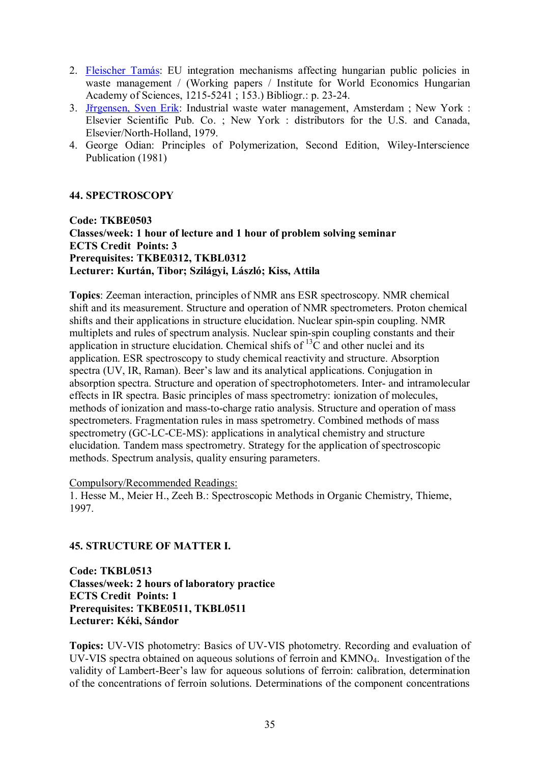- 2. Fleischer Tamás: EU integration mechanisms affecting hungarian public policies in waste management / (Working papers / Institute for World Economics Hungarian Academy of Sciences, 1215-5241 ; 153.) Bibliogr.: p. 23-24.
- 3. Jřrgensen, Sven Erik: Industrial waste water management, Amsterdam ; New York : Elsevier Scientific Pub. Co. ; New York : distributors for the U.S. and Canada, Elsevier/North-Holland, 1979.
- 4. George Odian: Principles of Polymerization, Second Edition, Wiley-Interscience Publication (1981)

# **44. SPECTROSCOPY**

**Code: TKBE0503 Classes/week: 1 hour of lecture and 1 hour of problem solving seminar ECTS Credit Points: 3 Prerequisites: TKBE0312, TKBL0312 Lecturer: Kurtán, Tibor; Szilágyi, László; Kiss, Attila**

**Topics**: Zeeman interaction, principles of NMR ans ESR spectroscopy. NMR chemical shift and its measurement. Structure and operation of NMR spectrometers. Proton chemical shifts and their applications in structure elucidation. Nuclear spin-spin coupling. NMR multiplets and rules of spectrum analysis. Nuclear spin-spin coupling constants and their application in structure elucidation. Chemical shifs of  ${}^{13}$ C and other nuclei and its application. ESR spectroscopy to study chemical reactivity and structure. Absorption spectra (UV, IR, Raman). Beer's law and its analytical applications. Conjugation in absorption spectra. Structure and operation of spectrophotometers. Inter- and intramolecular effects in IR spectra. Basic principles of mass spectrometry: ionization of molecules, methods of ionization and mass-to-charge ratio analysis. Structure and operation of mass spectrometers. Fragmentation rules in mass spetrometry. Combined methods of mass spectrometry (GC-LC-CE-MS): applications in analytical chemistry and structure elucidation. Tandem mass spectrometry. Strategy for the application of spectroscopic methods. Spectrum analysis, quality ensuring parameters.

#### Compulsory/Recommended Readings:

1. Hesse M., Meier H., Zeeh B.: Spectroscopic Methods in Organic Chemistry, Thieme, 1997.

#### **45. STRUCTURE OF MATTER I.**

**Code: TKBL0513 Classes/week: 2 hours of laboratory practice ECTS Credit Points: 1 Prerequisites: TKBE0511, TKBL0511 Lecturer: Kéki, Sándor**

**Topics:** UV-VIS photometry: Basics of UV-VIS photometry. Recording and evaluation of UV-VIS spectra obtained on aqueous solutions of ferroin and KMNO4. Investigation of the validity of Lambert-Beer's law for aqueous solutions of ferroin: calibration, determination of the concentrations of ferroin solutions. Determinations of the component concentrations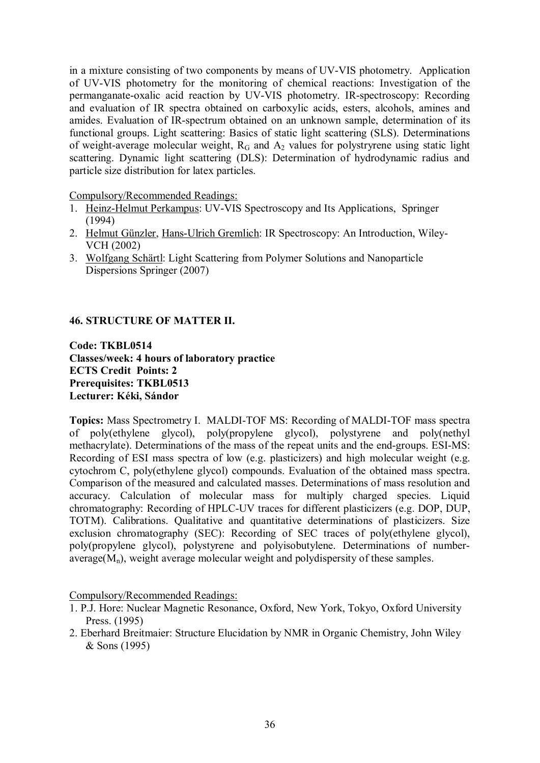in a mixture consisting of two components by means of UV-VIS photometry. Application of UV-VIS photometry for the monitoring of chemical reactions: Investigation of the permanganate-oxalic acid reaction by UV-VIS photometry. IR-spectroscopy: Recording and evaluation of IR spectra obtained on carboxylic acids, esters, alcohols, amines and amides. Evaluation of IR-spectrum obtained on an unknown sample, determination of its functional groups. Light scattering: Basics of static light scattering (SLS). Determinations of weight-average molecular weight,  $R_G$  and  $A_2$  values for polystryrene using static light scattering. Dynamic light scattering (DLS): Determination of hydrodynamic radius and particle size distribution for latex particles.

Compulsory/Recommended Readings:

- 1. [Heinz-Helmut Perkampus:](http://www.amazon.com/exec/obidos/search-handle-url/102-4951071-8867327?%5Fencoding=UTF8&search-type=ss&index=books&field-author=Heinz-Helmut%20Perkampus) UV-VIS Spectroscopy and Its Applications, Springer (1994)
- 2. [Helmut Günzler](http://www.amazon.com/exec/obidos/search-handle-url/102-4951071-8867327?%5Fencoding=UTF8&search-type=ss&index=books&field-author=Helmut%20G%C3%BCnzler), [Hans-Ulrich Gremlich:](http://www.amazon.com/exec/obidos/search-handle-url/102-4951071-8867327?%5Fencoding=UTF8&search-type=ss&index=books&field-author=Hans-Ulrich%20Gremlich) IR Spectroscopy: An Introduction, Wiley-VCH (2002)
- 3. [Wolfgang Schärtl](http://www.amazon.com/exec/obidos/search-handle-url/102-4951071-8867327?%5Fencoding=UTF8&search-type=ss&index=books&field-author=Wolfgang%20Sch%C3%A4rtl): Light Scattering from Polymer Solutions and Nanoparticle Dispersions Springer (2007)

# **46. STRUCTURE OF MATTER II.**

**Code: TKBL0514 Classes/week: 4 hours of laboratory practice ECTS Credit Points: 2 Prerequisites: TKBL0513 Lecturer: Kéki, Sándor**

**Topics:** Mass Spectrometry I. MALDI-TOF MS: Recording of MALDI-TOF mass spectra of poly(ethylene glycol), poly(propylene glycol), polystyrene and poly(nethyl methacrylate). Determinations of the mass of the repeat units and the end-groups. ESI-MS: Recording of ESI mass spectra of low (e.g. plasticizers) and high molecular weight (e.g. cytochrom C, poly(ethylene glycol) compounds. Evaluation of the obtained mass spectra. Comparison of the measured and calculated masses. Determinations of mass resolution and accuracy. Calculation of molecular mass for multiply charged species. Liquid chromatography: Recording of HPLC-UV traces for different plasticizers (e.g. DOP, DUP, TOTM). Calibrations. Qualitative and quantitative determinations of plasticizers. Size exclusion chromatography (SEC): Recording of SEC traces of poly(ethylene glycol), poly(propylene glycol), polystyrene and polyisobutylene. Determinations of numberaverage $(M_n)$ , weight average molecular weight and polydispersity of these samples.

Compulsory/Recommended Readings:

- 1. P.J. Hore: Nuclear Magnetic Resonance, Oxford, New York, Tokyo, Oxford University Press. (1995)
- 2. Eberhard Breitmaier: Structure Elucidation by NMR in Organic Chemistry, John Wiley & Sons (1995)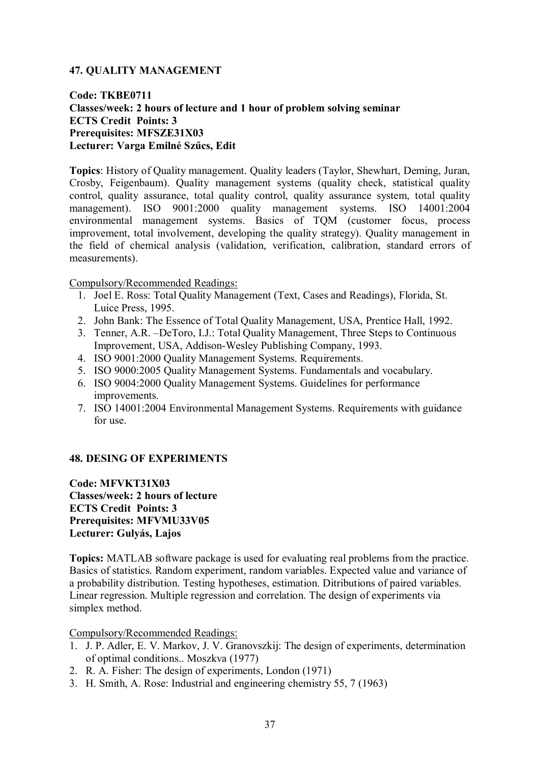# **47. QUALITY MANAGEMENT**

# **Code: TKBE0711 Classes/week: 2 hours of lecture and 1 hour of problem solving seminar ECTS Credit Points: 3 Prerequisites: MFSZE31X03 Lecturer: Varga Emilné Szűcs, Edit**

**Topics**: History of Quality management. Quality leaders (Taylor, Shewhart, Deming, Juran, Crosby, Feigenbaum). Quality management systems (quality check, statistical quality control, quality assurance, total quality control, quality assurance system, total quality management). ISO 9001:2000 quality management systems. ISO 14001:2004 environmental management systems. Basics of TQM (customer focus, process improvement, total involvement, developing the quality strategy). Quality management in the field of chemical analysis (validation, verification, calibration, standard errors of measurements).

Compulsory/Recommended Readings:

- 1. Joel E. Ross: Total Quality Management (Text, Cases and Readings), Florida, St. Luice Press, 1995.
- 2. John Bank: The Essence of Total Quality Management, USA, Prentice Hall, 1992.
- 3. Tenner, A.R. –DeToro, I.J.: Total Quality Management, Three Steps to Continuous Improvement, USA, Addison-Wesley Publishing Company, 1993.
- 4. ISO 9001:2000 Quality Management Systems. Requirements.
- 5. ISO 9000:2005 Quality Management Systems. Fundamentals and vocabulary.
- 6. ISO 9004:2000 Quality Management Systems. Guidelines for performance improvements.
- 7. ISO 14001:2004 Environmental Management Systems. Requirements with guidance for use.

# **48. DESING OF EXPERIMENTS**

**Code: MFVKT31X03 Classes/week: 2 hours of lecture ECTS Credit Points: 3 Prerequisites: MFVMU33V05 Lecturer: Gulyás, Lajos**

**Topics:** MATLAB software package is used for evaluating real problems from the practice. Basics of statistics. Random experiment, random variables. Expected value and variance of a probability distribution. Testing hypotheses, estimation. Ditributions of paired variables. Linear regression. Multiple regression and correlation. The design of experiments via simplex method.

Compulsory/Recommended Readings:

- 1. J. P. Adler, E. V. Markov, J. V. Granovszkij: The design of experiments, determination of optimal conditions.. Moszkva (1977)
- 2. R. A. Fisher: The design of experiments, London (1971)
- 3. H. Smith, A. Rose: Industrial and engineering chemistry 55, 7 (1963)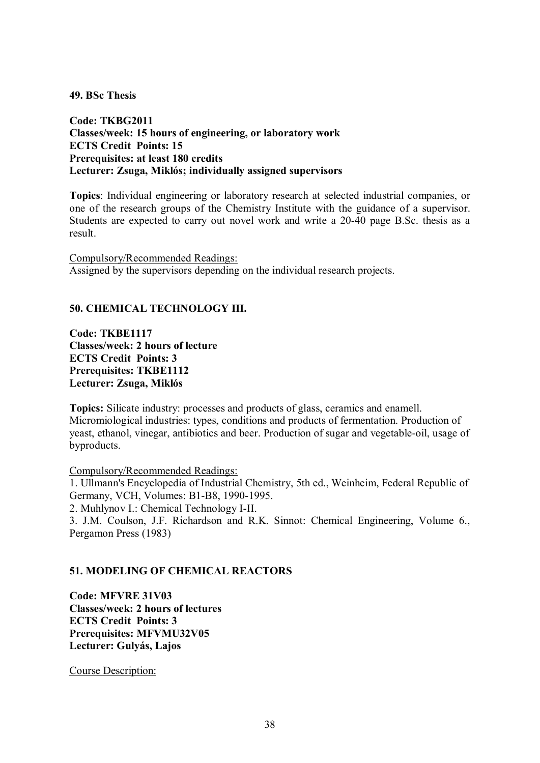#### **49. BSc Thesis**

**Code: TKBG2011 Classes/week: 15 hours of engineering, or laboratory work ECTS Credit Points: 15 Prerequisites: at least 180 credits Lecturer: Zsuga, Miklós; individually assigned supervisors**

**Topics**: Individual engineering or laboratory research at selected industrial companies, or one of the research groups of the Chemistry Institute with the guidance of a supervisor. Students are expected to carry out novel work and write a 20-40 page B.Sc. thesis as a result.

Compulsory/Recommended Readings: Assigned by the supervisors depending on the individual research projects.

### **50. CHEMICAL TECHNOLOGY III.**

**Code: TKBE1117 Classes/week: 2 hours of lecture ECTS Credit Points: 3 Prerequisites: TKBE1112 Lecturer: Zsuga, Miklós**

**Topics:** Silicate industry: processes and products of glass, ceramics and enamell. Micromiological industries: types, conditions and products of fermentation. Production of yeast, ethanol, vinegar, antibiotics and beer. Production of sugar and vegetable-oil, usage of byproducts.

Compulsory/Recommended Readings:

1. Ullmann's Encyclopedia of Industrial Chemistry, 5th ed., Weinheim, Federal Republic of Germany, VCH, Volumes: B1-B8, 1990-1995.

2. Muhlynov I.: Chemical Technology I-II.

3. J.M. Coulson, J.F. Richardson and R.K. Sinnot: Chemical Engineering, Volume 6., Pergamon Press (1983)

#### **51. MODELING OF CHEMICAL REACTORS**

**Code: MFVRE 31V03 Classes/week: 2 hours of lectures ECTS Credit Points: 3 Prerequisites: MFVMU32V05 Lecturer: Gulyás, Lajos**

Course Description: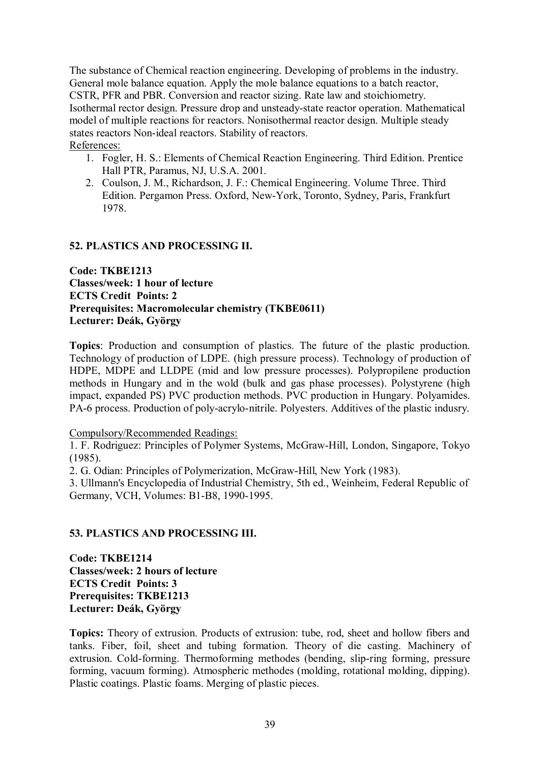The substance of Chemical reaction engineering. Developing of problems in the industry. General mole balance equation. Apply the mole balance equations to a batch reactor, CSTR, PFR and PBR. Conversion and reactor sizing. Rate law and stoichiometry. Isothermal rector design. Pressure drop and unsteady-state reactor operation. Mathematical model of multiple reactions for reactors. Nonisothermal reactor design. Multiple steady states reactors Non-ideal reactors. Stability of reactors. References:

- 1. Fogler, H. S.: Elements of Chemical Reaction Engineering. Third Edition. Prentice Hall PTR, Paramus, NJ, U.S.A. 2001.
- 2. Coulson, J. M., Richardson, J. F.: Chemical Engineering. Volume Three. Third Edition. Pergamon Press. Oxford, New-York, Toronto, Sydney, Paris, Frankfurt 1978.

# **52. PLASTICS AND PROCESSING II.**

**Code: TKBE1213 Classes/week: 1 hour of lecture ECTS Credit Points: 2 Prerequisites: Macromolecular chemistry (TKBE0611) Lecturer: Deák, György**

**Topics**: Production and consumption of plastics. The future of the plastic production. Technology of production of LDPE. (high pressure process). Technology of production of HDPE, MDPE and LLDPE (mid and low pressure processes). Polypropilene production methods in Hungary and in the wold (bulk and gas phase processes). Polystyrene (high impact, expanded PS) PVC production methods. PVC production in Hungary. Polyamides. PA-6 process. Production of poly-acrylo-nitrile. Polyesters. Additives of the plastic indusry.

#### Compulsory/Recommended Readings:

1. F. Rodriguez: Principles of Polymer Systems, McGraw-Hill, London, Singapore, Tokyo (1985).

2. G. Odian: Principles of Polymerization, McGraw-Hill, New York (1983).

3. Ullmann's Encyclopedia of Industrial Chemistry, 5th ed., Weinheim, Federal Republic of Germany, VCH, Volumes: B1-B8, 1990-1995.

#### **53. PLASTICS AND PROCESSING III.**

**Code: TKBE1214 Classes/week: 2 hours of lecture ECTS Credit Points: 3 Prerequisites: TKBE1213 Lecturer: Deák, György**

**Topics:** Theory of extrusion. Products of extrusion: tube, rod, sheet and hollow fibers and tanks. Fiber, foil, sheet and tubing formation. Theory of die casting. Machinery of extrusion. Cold-forming. Thermoforming methodes (bending, slip-ring forming, pressure forming, vacuum forming). Atmospheric methodes (molding, rotational molding, dipping). Plastic coatings. Plastic foams. Merging of plastic pieces.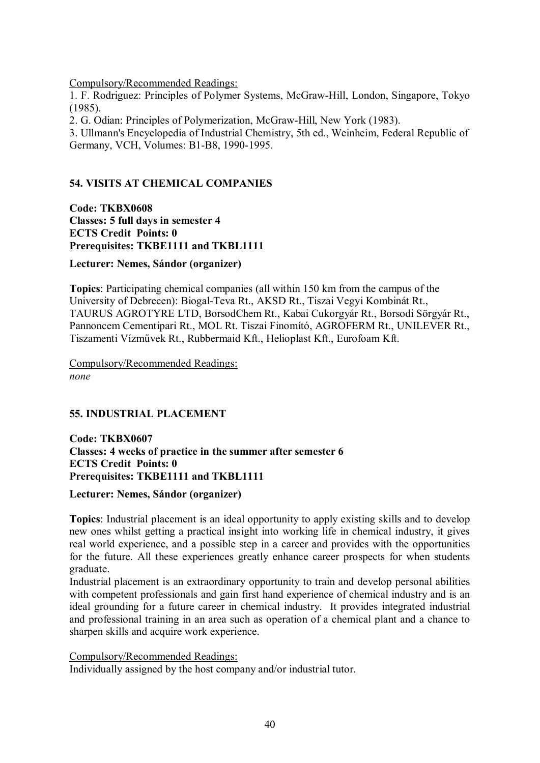Compulsory/Recommended Readings:

1. F. Rodriguez: Principles of Polymer Systems, McGraw-Hill, London, Singapore, Tokyo (1985).

2. G. Odian: Principles of Polymerization, McGraw-Hill, New York (1983).

3. Ullmann's Encyclopedia of Industrial Chemistry, 5th ed., Weinheim, Federal Republic of Germany, VCH, Volumes: B1-B8, 1990-1995.

# **54. VISITS AT CHEMICAL COMPANIES**

**Code: TKBX0608 Classes: 5 full days in semester 4 ECTS Credit Points: 0 Prerequisites: TKBE1111 and TKBL1111**

**Lecturer: Nemes, Sándor (organizer)**

**Topics**: Participating chemical companies (all within 150 km from the campus of the University of Debrecen): Biogal-Teva Rt., AKSD Rt., Tiszai Vegyi Kombinát Rt., TAURUS AGROTYRE LTD, BorsodChem Rt., Kabai Cukorgyár Rt., Borsodi Sörgyár Rt., Pannoncem Cementipari Rt., MOL Rt. Tiszai Finomító, AGROFERM Rt., UNILEVER Rt., Tiszamenti Vízművek Rt., Rubbermaid Kft., Helioplast Kft., Eurofoam Kft.

Compulsory/Recommended Readings: *none*

# **55. INDUSTRIAL PLACEMENT**

**Code: TKBX0607 Classes: 4 weeks of practice in the summer after semester 6 ECTS Credit Points: 0 Prerequisites: TKBE1111 and TKBL1111**

# **Lecturer: Nemes, Sándor (organizer)**

**Topics**: Industrial placement is an ideal opportunity to apply existing skills and to develop new ones whilst getting a practical insight into working life in chemical industry, it gives real world experience, and a possible step in a career and provides with the opportunities for the future. All these experiences greatly enhance career prospects for when students graduate.

Industrial placement is an extraordinary opportunity to train and develop personal abilities with competent professionals and gain first hand experience of chemical industry and is an ideal grounding for a future career in chemical industry. It provides integrated industrial and professional training in an area such as operation of a chemical plant and a chance to sharpen skills and acquire work experience.

Compulsory/Recommended Readings:

Individually assigned by the host company and/or industrial tutor.